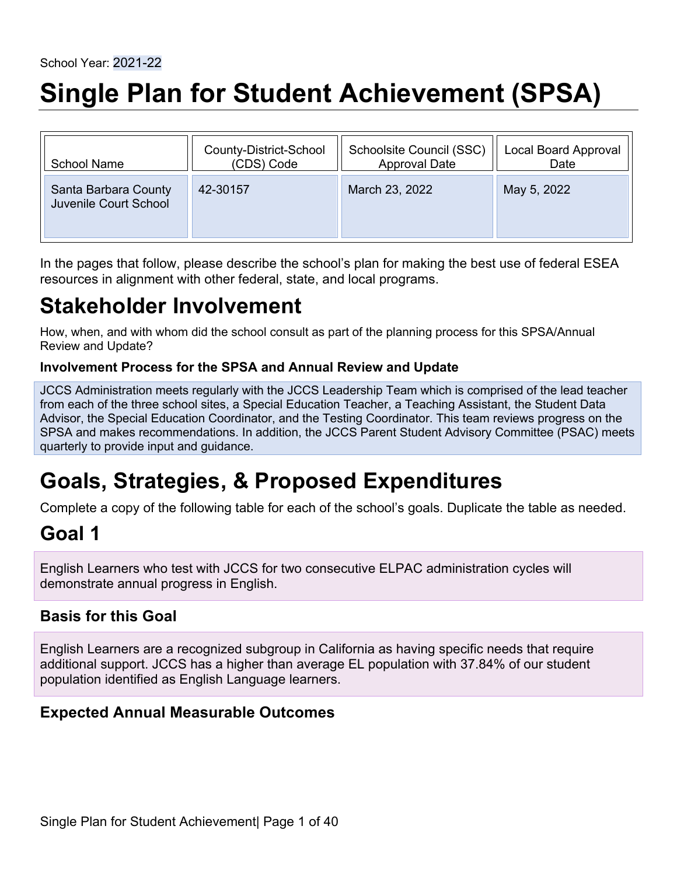# **Single Plan for Student Achievement (SPSA)**

| School Name                                   | County-District-School | Schoolsite Council (SSC) | <b>Local Board Approval</b> |
|-----------------------------------------------|------------------------|--------------------------|-----------------------------|
|                                               | (CDS) Code             | Approval Date            | Date                        |
| Santa Barbara County<br>Juvenile Court School | 42-30157               | March 23, 2022           | May 5, 2022                 |

In the pages that follow, please describe the school's plan for making the best use of federal ESEA resources in alignment with other federal, state, and local programs.

# **Stakeholder Involvement**

How, when, and with whom did the school consult as part of the planning process for this SPSA/Annual Review and Update?

## **Involvement Process for the SPSA and Annual Review and Update**

JCCS Administration meets regularly with the JCCS Leadership Team which is comprised of the lead teacher from each of the three school sites, a Special Education Teacher, a Teaching Assistant, the Student Data Advisor, the Special Education Coordinator, and the Testing Coordinator. This team reviews progress on the SPSA and makes recommendations. In addition, the JCCS Parent Student Advisory Committee (PSAC) meets quarterly to provide input and guidance.

# **Goals, Strategies, & Proposed Expenditures**

Complete a copy of the following table for each of the school's goals. Duplicate the table as needed.

# **Goal 1**

English Learners who test with JCCS for two consecutive ELPAC administration cycles will demonstrate annual progress in English.

# **Basis for this Goal**

English Learners are a recognized subgroup in California as having specific needs that require additional support. JCCS has a higher than average EL population with 37.84% of our student population identified as English Language learners.

## **Expected Annual Measurable Outcomes**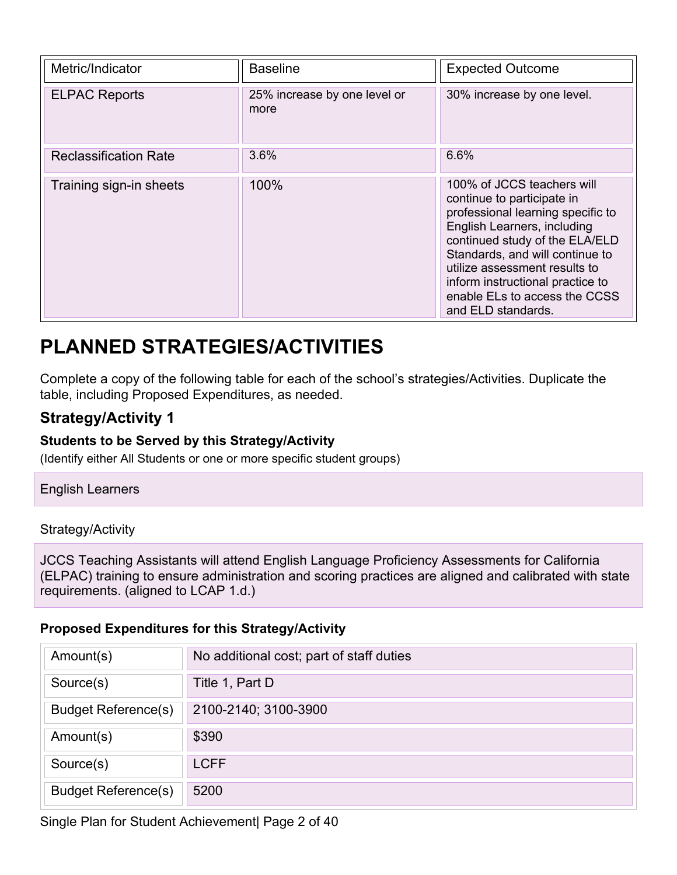| Metric/Indicator             | <b>Baseline</b>                      | <b>Expected Outcome</b>                                                                                                                                                                                                                                                                                                       |
|------------------------------|--------------------------------------|-------------------------------------------------------------------------------------------------------------------------------------------------------------------------------------------------------------------------------------------------------------------------------------------------------------------------------|
| <b>ELPAC Reports</b>         | 25% increase by one level or<br>more | 30% increase by one level.                                                                                                                                                                                                                                                                                                    |
| <b>Reclassification Rate</b> | 3.6%                                 | 6.6%                                                                                                                                                                                                                                                                                                                          |
| Training sign-in sheets      | 100%                                 | 100% of JCCS teachers will<br>continue to participate in<br>professional learning specific to<br>English Learners, including<br>continued study of the ELA/ELD<br>Standards, and will continue to<br>utilize assessment results to<br>inform instructional practice to<br>enable ELs to access the CCSS<br>and ELD standards. |

# **PLANNED STRATEGIES/ACTIVITIES**

Complete a copy of the following table for each of the school's strategies/Activities. Duplicate the table, including Proposed Expenditures, as needed.

# **Strategy/Activity 1**

## **Students to be Served by this Strategy/Activity**

(Identify either All Students or one or more specific student groups)

### English Learners

#### Strategy/Activity

JCCS Teaching Assistants will attend English Language Proficiency Assessments for California (ELPAC) training to ensure administration and scoring practices are aligned and calibrated with state requirements. (aligned to LCAP 1.d.)

### **Proposed Expenditures for this Strategy/Activity**

| Amount(s)                  | No additional cost; part of staff duties |
|----------------------------|------------------------------------------|
| Source(s)                  | Title 1, Part D                          |
| <b>Budget Reference(s)</b> | 2100-2140; 3100-3900                     |
| Amount(s)                  | \$390                                    |
| Source(s)                  | <b>LCFF</b>                              |
| <b>Budget Reference(s)</b> | 5200                                     |

Single Plan for Student Achievement | Page 2 of 40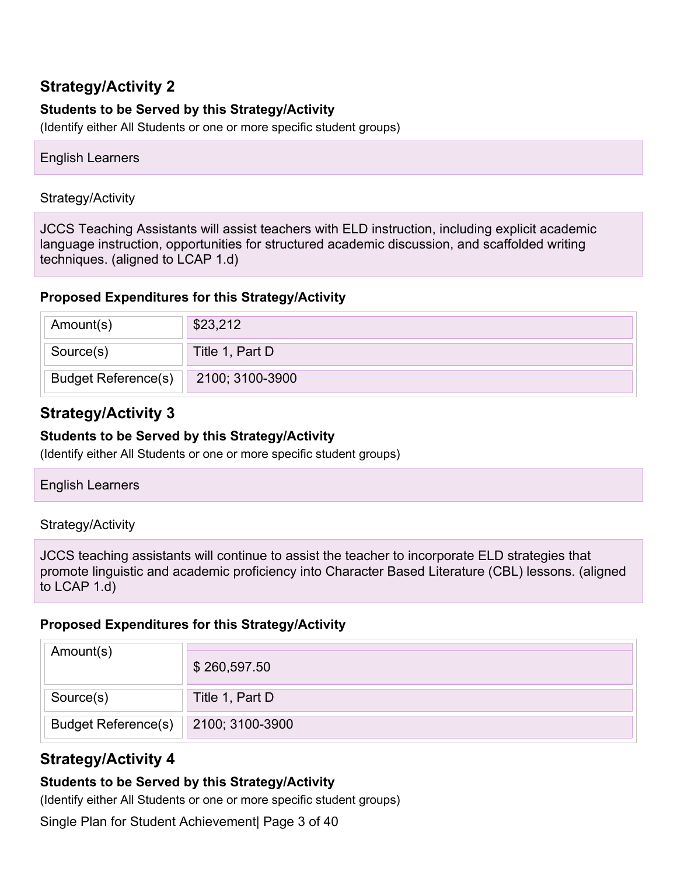## **Students to be Served by this Strategy/Activity**

(Identify either All Students or one or more specific student groups)

#### English Learners

#### Strategy/Activity

JCCS Teaching Assistants will assist teachers with ELD instruction, including explicit academic language instruction, opportunities for structured academic discussion, and scaffolded writing techniques. (aligned to LCAP 1.d)

#### **Proposed Expenditures for this Strategy/Activity**

| Amount(s)                  | \$23,212        |
|----------------------------|-----------------|
| Source(s)                  | Title 1, Part D |
| <b>Budget Reference(s)</b> | 2100; 3100-3900 |

## **Strategy/Activity 3**

#### **Students to be Served by this Strategy/Activity**

(Identify either All Students or one or more specific student groups)

#### English Learners

#### Strategy/Activity

JCCS teaching assistants will continue to assist the teacher to incorporate ELD strategies that promote linguistic and academic proficiency into Character Based Literature (CBL) lessons. (aligned to LCAP 1.d)

#### **Proposed Expenditures for this Strategy/Activity**

| Amount(s)                  | \$260,597.50    |
|----------------------------|-----------------|
| Source(s)                  | Title 1, Part D |
| <b>Budget Reference(s)</b> | 2100; 3100-3900 |

## **Strategy/Activity 4**

#### **Students to be Served by this Strategy/Activity**

(Identify either All Students or one or more specific student groups)

Single Plan for Student Achievement| Page 3 of 40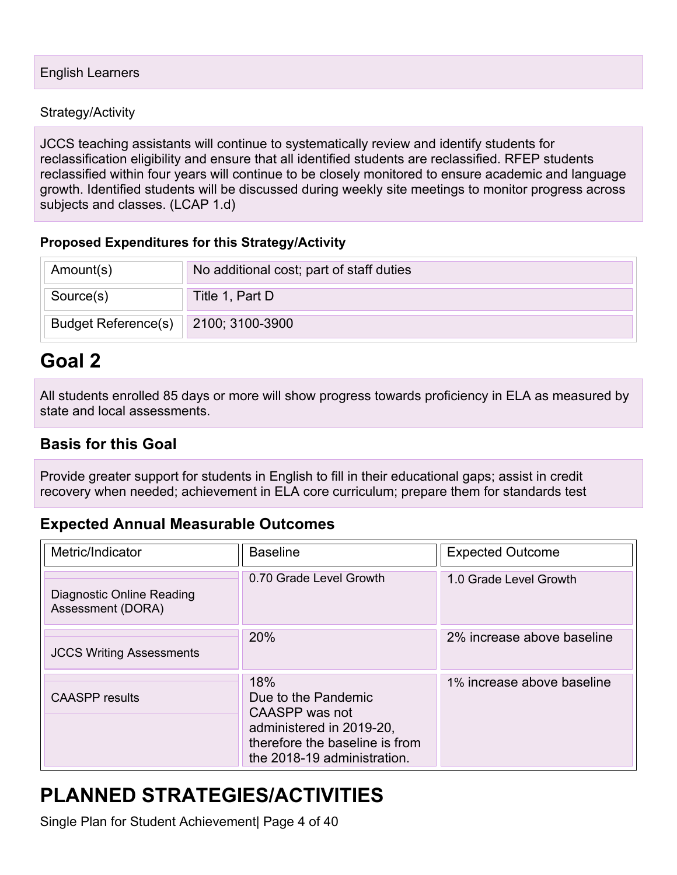JCCS teaching assistants will continue to systematically review and identify students for reclassification eligibility and ensure that all identified students are reclassified. RFEP students reclassified within four years will continue to be closely monitored to ensure academic and language growth. Identified students will be discussed during weekly site meetings to monitor progress across subjects and classes. (LCAP 1.d)

#### **Proposed Expenditures for this Strategy/Activity**

| Amount(s)                  | No additional cost; part of staff duties |
|----------------------------|------------------------------------------|
| Source(s)                  | Title 1, Part D                          |
| <b>Budget Reference(s)</b> | 2100; 3100-3900                          |

# **Goal 2**

All students enrolled 85 days or more will show progress towards proficiency in ELA as measured by state and local assessments.

## **Basis for this Goal**

Provide greater support for students in English to fill in their educational gaps; assist in credit recovery when needed; achievement in ELA core curriculum; prepare them for standards test

## **Expected Annual Measurable Outcomes**

| Metric/Indicator                               | <b>Baseline</b>                                                                                                                           | <b>Expected Outcome</b>    |
|------------------------------------------------|-------------------------------------------------------------------------------------------------------------------------------------------|----------------------------|
| Diagnostic Online Reading<br>Assessment (DORA) | 0.70 Grade Level Growth                                                                                                                   | 1.0 Grade Level Growth     |
| <b>JCCS Writing Assessments</b>                | 20%                                                                                                                                       | 2% increase above baseline |
| <b>CAASPP</b> results                          | 18%<br>Due to the Pandemic<br>CAASPP was not<br>administered in 2019-20,<br>therefore the baseline is from<br>the 2018-19 administration. | 1% increase above baseline |

# **PLANNED STRATEGIES/ACTIVITIES**

Single Plan for Student Achievement | Page 4 of 40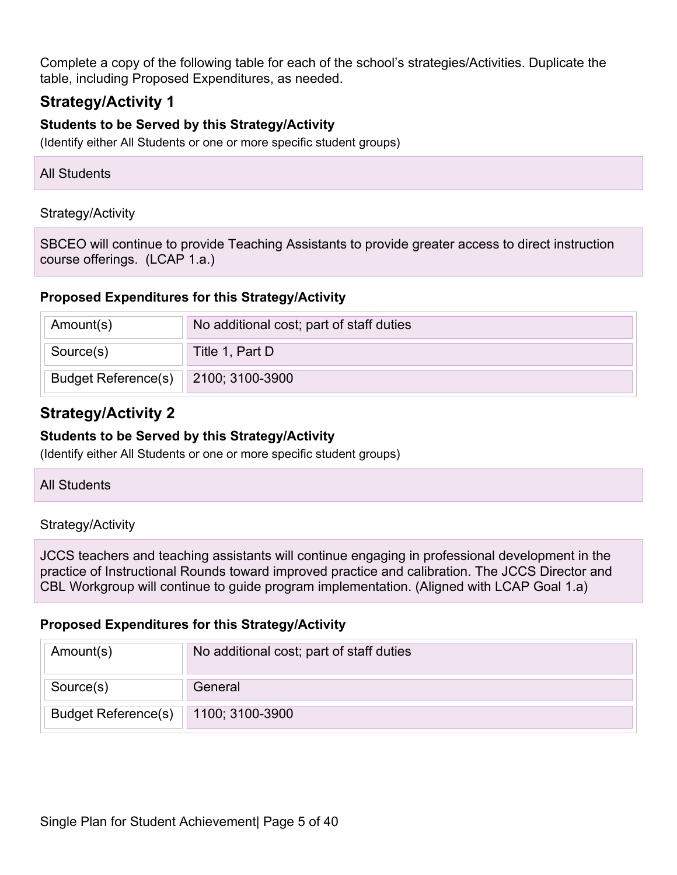Complete a copy of the following table for each of the school's strategies/Activities. Duplicate the table, including Proposed Expenditures, as needed.

# **Strategy/Activity 1**

## **Students to be Served by this Strategy/Activity**

(Identify either All Students or one or more specific student groups)

| <b>All Students</b> |
|---------------------|
|---------------------|

#### Strategy/Activity

SBCEO will continue to provide Teaching Assistants to provide greater access to direct instruction course offerings. (LCAP 1.a.)

#### **Proposed Expenditures for this Strategy/Activity**

| Amount(s)                  | No additional cost; part of staff duties |
|----------------------------|------------------------------------------|
| Source(s)                  | Title 1, Part D                          |
| <b>Budget Reference(s)</b> | 2100; 3100-3900                          |

## **Strategy/Activity 2**

### **Students to be Served by this Strategy/Activity**

(Identify either All Students or one or more specific student groups)

#### All Students

#### Strategy/Activity

JCCS teachers and teaching assistants will continue engaging in professional development in the practice of Instructional Rounds toward improved practice and calibration. The JCCS Director and CBL Workgroup will continue to guide program implementation. (Aligned with LCAP Goal 1.a)

#### **Proposed Expenditures for this Strategy/Activity**

| Amount(s)                  | No additional cost; part of staff duties |
|----------------------------|------------------------------------------|
| Source(s)                  | General                                  |
| <b>Budget Reference(s)</b> | 1100; 3100-3900                          |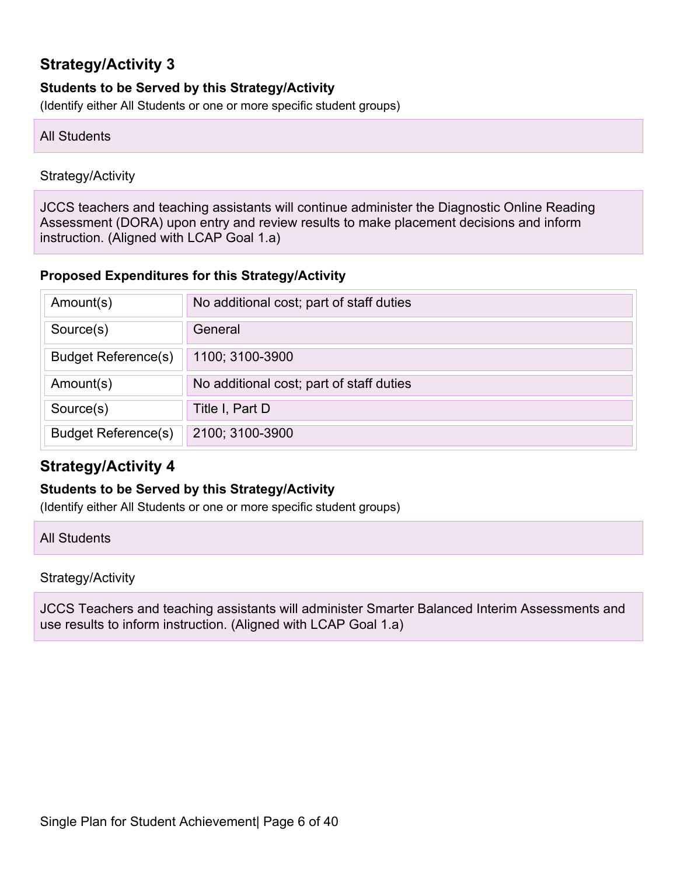#### **Students to be Served by this Strategy/Activity**

(Identify either All Students or one or more specific student groups)

#### All Students

#### Strategy/Activity

JCCS teachers and teaching assistants will continue administer the Diagnostic Online Reading Assessment (DORA) upon entry and review results to make placement decisions and inform instruction. (Aligned with LCAP Goal 1.a)

#### **Proposed Expenditures for this Strategy/Activity**

| Amount(s)                  | No additional cost; part of staff duties |
|----------------------------|------------------------------------------|
| Source(s)                  | General                                  |
| <b>Budget Reference(s)</b> | 1100; 3100-3900                          |
| Amount(s)                  | No additional cost; part of staff duties |
| Source(s)                  | Title I, Part D                          |
| <b>Budget Reference(s)</b> | 2100; 3100-3900                          |

## **Strategy/Activity 4**

### **Students to be Served by this Strategy/Activity**

(Identify either All Students or one or more specific student groups)

All Students

#### Strategy/Activity

JCCS Teachers and teaching assistants will administer Smarter Balanced Interim Assessments and use results to inform instruction. (Aligned with LCAP Goal 1.a)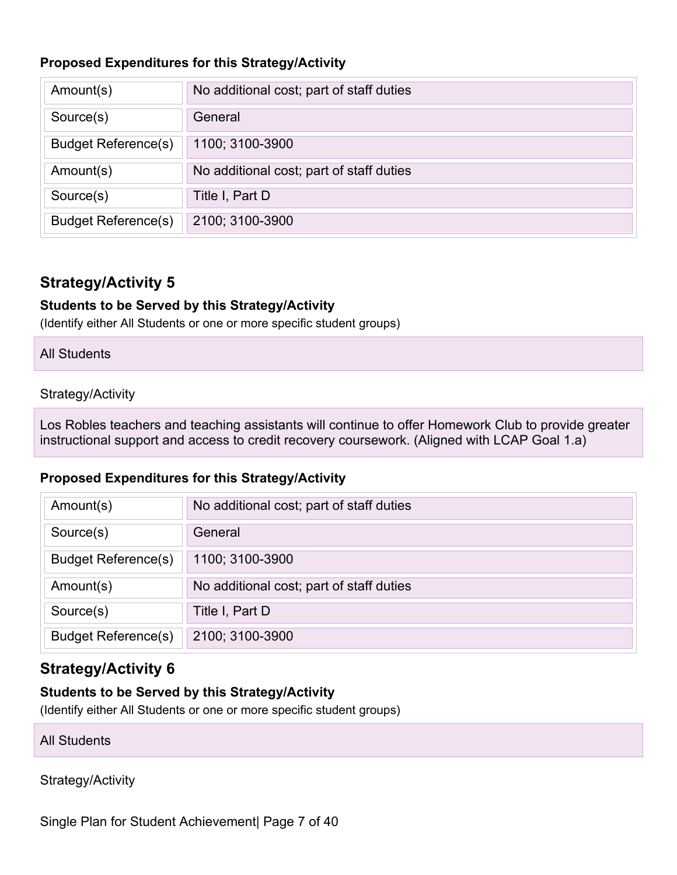### **Proposed Expenditures for this Strategy/Activity**

| Amount(s)                  | No additional cost; part of staff duties |
|----------------------------|------------------------------------------|
| Source(s)                  | General                                  |
| <b>Budget Reference(s)</b> | 1100; 3100-3900                          |
| Amount(s)                  | No additional cost; part of staff duties |
| Source(s)                  | Title I, Part D                          |
| <b>Budget Reference(s)</b> | 2100; 3100-3900                          |

# **Strategy/Activity 5**

## **Students to be Served by this Strategy/Activity**

(Identify either All Students or one or more specific student groups)

#### All Students

#### Strategy/Activity

Los Robles teachers and teaching assistants will continue to offer Homework Club to provide greater instructional support and access to credit recovery coursework. (Aligned with LCAP Goal 1.a)

### **Proposed Expenditures for this Strategy/Activity**

| Amount(s)                  | No additional cost; part of staff duties |
|----------------------------|------------------------------------------|
| Source(s)                  | General                                  |
| <b>Budget Reference(s)</b> | 1100; 3100-3900                          |
| Amount(s)                  | No additional cost; part of staff duties |
| Source(s)                  | Title I, Part D                          |
| <b>Budget Reference(s)</b> | 2100; 3100-3900                          |

# **Strategy/Activity 6**

### **Students to be Served by this Strategy/Activity**

(Identify either All Students or one or more specific student groups)

All Students

Strategy/Activity

Single Plan for Student Achievement| Page 7 of 40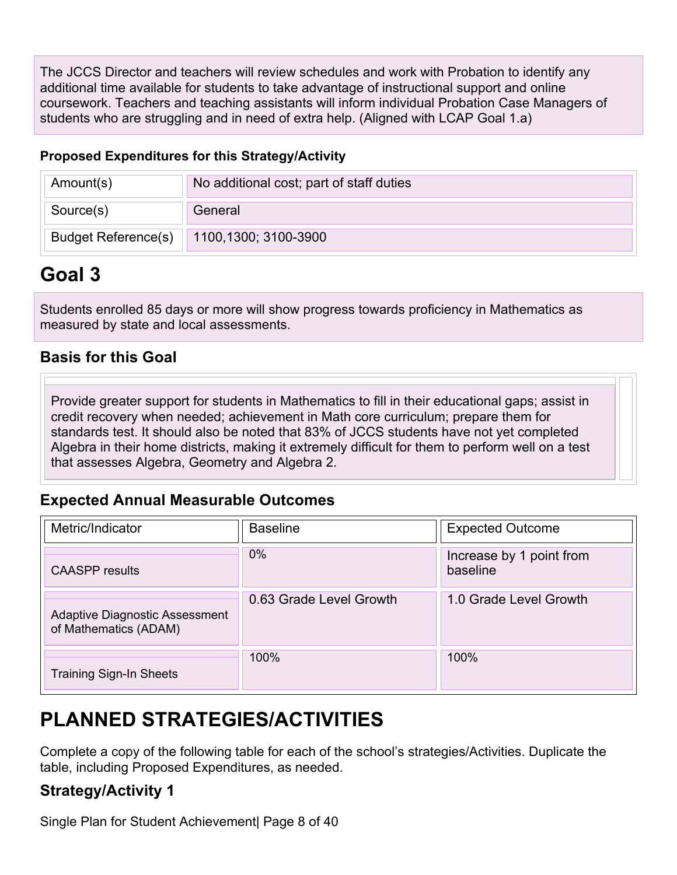The JCCS Director and teachers will review schedules and work with Probation to identify any additional time available for students to take advantage of instructional support and online coursework. Teachers and teaching assistants will inform individual Probation Case Managers of students who are struggling and in need of extra help. (Aligned with LCAP Goal 1.a)

## **Proposed Expenditures for this Strategy/Activity**

| Amount(s)                  | No additional cost; part of staff duties |
|----------------------------|------------------------------------------|
| Source(s)                  | General                                  |
| <b>Budget Reference(s)</b> | 1100,1300; 3100-3900                     |

# **Goal 3**

Students enrolled 85 days or more will show progress towards proficiency in Mathematics as measured by state and local assessments.

# **Basis for this Goal**

Provide greater support for students in Mathematics to fill in their educational gaps; assist in credit recovery when needed; achievement in Math core curriculum; prepare them for standards test. It should also be noted that 83% of JCCS students have not yet completed Algebra in their home districts, making it extremely difficult for them to perform well on a test that assesses Algebra, Geometry and Algebra 2.

# **Expected Annual Measurable Outcomes**

| Metric/Indicator                                               | <b>Baseline</b>         | <b>Expected Outcome</b>              |
|----------------------------------------------------------------|-------------------------|--------------------------------------|
| <b>CAASPP</b> results                                          | 0%                      | Increase by 1 point from<br>baseline |
| <b>Adaptive Diagnostic Assessment</b><br>of Mathematics (ADAM) | 0.63 Grade Level Growth | 1.0 Grade Level Growth               |
| <b>Training Sign-In Sheets</b>                                 | 100%                    | 100%                                 |

# **PLANNED STRATEGIES/ACTIVITIES**

Complete a copy of the following table for each of the school's strategies/Activities. Duplicate the table, including Proposed Expenditures, as needed.

# **Strategy/Activity 1**

Single Plan for Student Achievement| Page 8 of 40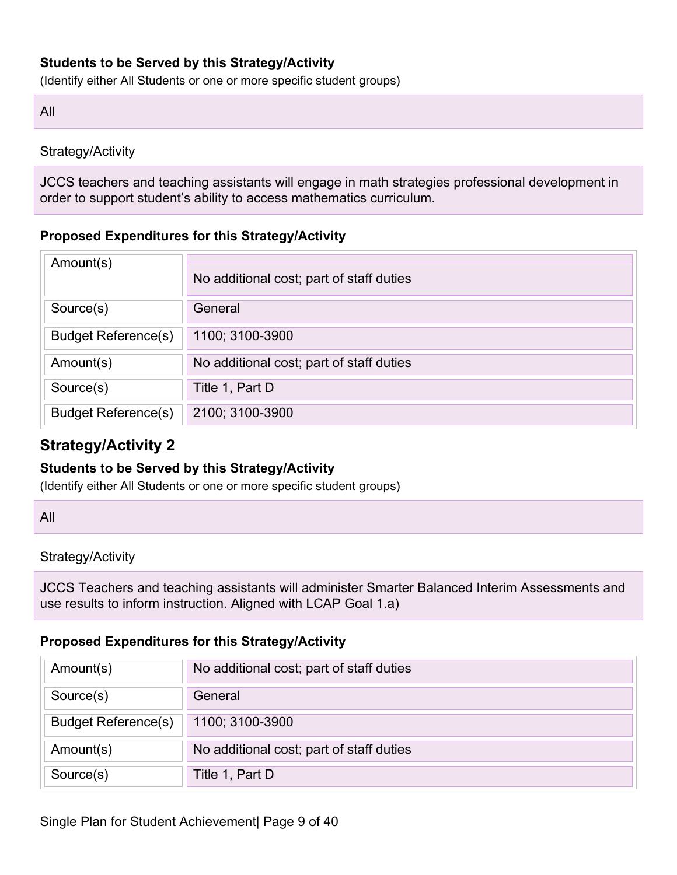## **Students to be Served by this Strategy/Activity**

(Identify either All Students or one or more specific student groups)

All

#### Strategy/Activity

JCCS teachers and teaching assistants will engage in math strategies professional development in order to support student's ability to access mathematics curriculum.

### **Proposed Expenditures for this Strategy/Activity**

| Amount(s)                  | No additional cost; part of staff duties |
|----------------------------|------------------------------------------|
| Source(s)                  | General                                  |
| <b>Budget Reference(s)</b> | 1100; 3100-3900                          |
| Amount(s)                  | No additional cost; part of staff duties |
| Source(s)                  | Title 1, Part D                          |
| <b>Budget Reference(s)</b> | 2100; 3100-3900                          |

## **Strategy/Activity 2**

### **Students to be Served by this Strategy/Activity**

(Identify either All Students or one or more specific student groups)

All

#### Strategy/Activity

JCCS Teachers and teaching assistants will administer Smarter Balanced Interim Assessments and use results to inform instruction. Aligned with LCAP Goal 1.a)

#### **Proposed Expenditures for this Strategy/Activity**

| Amount(s)                  | No additional cost; part of staff duties |
|----------------------------|------------------------------------------|
| Source(s)                  | General                                  |
| <b>Budget Reference(s)</b> | 1100; 3100-3900                          |
| Amount(s)                  | No additional cost; part of staff duties |
| Source(s)                  | Title 1, Part D                          |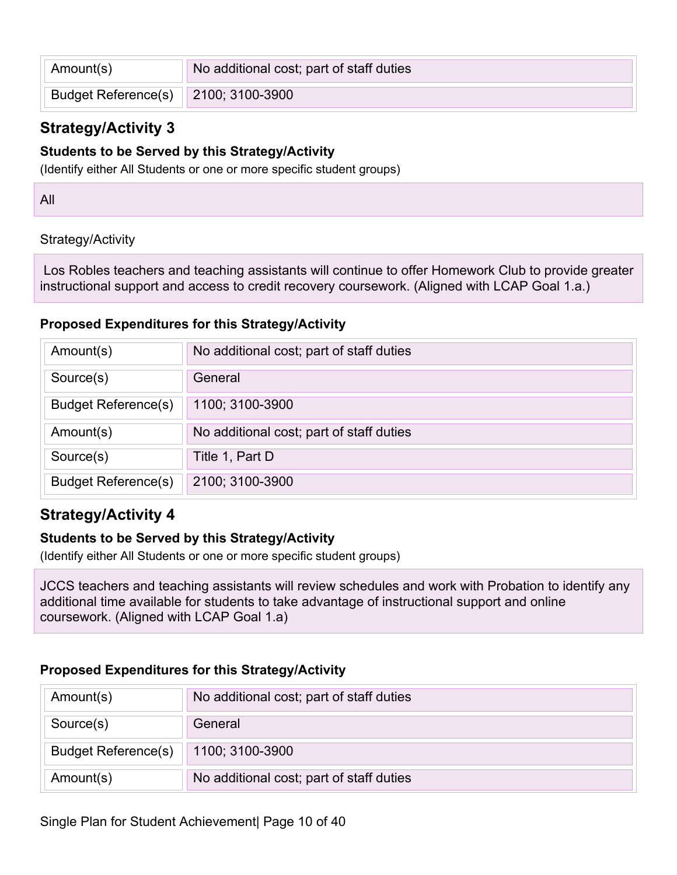| Amount(s)                             | No additional cost; part of staff duties |
|---------------------------------------|------------------------------------------|
| Budget Reference(s)   2100; 3100-3900 |                                          |

## **Students to be Served by this Strategy/Activity**

(Identify either All Students or one or more specific student groups)

All

## Strategy/Activity

Los Robles teachers and teaching assistants will continue to offer Homework Club to provide greater instructional support and access to credit recovery coursework. (Aligned with LCAP Goal 1.a.)

## **Proposed Expenditures for this Strategy/Activity**

| Amount(s)                  | No additional cost; part of staff duties |
|----------------------------|------------------------------------------|
| Source(s)                  | General                                  |
| <b>Budget Reference(s)</b> | 1100; 3100-3900                          |
| Amount(s)                  | No additional cost; part of staff duties |
| Source(s)                  | Title 1, Part D                          |
| <b>Budget Reference(s)</b> | 2100; 3100-3900                          |

# **Strategy/Activity 4**

### **Students to be Served by this Strategy/Activity**

(Identify either All Students or one or more specific student groups)

JCCS teachers and teaching assistants will review schedules and work with Probation to identify any additional time available for students to take advantage of instructional support and online coursework. (Aligned with LCAP Goal 1.a)

## **Proposed Expenditures for this Strategy/Activity**

| Amount(s)                  | No additional cost; part of staff duties |
|----------------------------|------------------------------------------|
| Source(s)                  | General                                  |
| <b>Budget Reference(s)</b> | 1100; 3100-3900                          |
| Amount(s)                  | No additional cost; part of staff duties |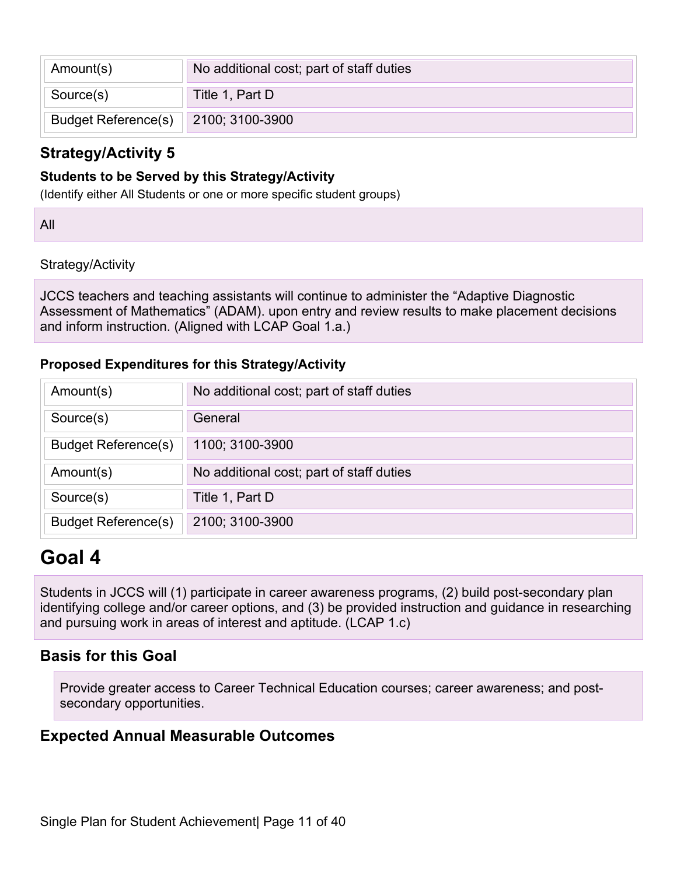| Amount(s)                  | No additional cost; part of staff duties |
|----------------------------|------------------------------------------|
| Source(s)                  | Title 1, Part D                          |
| <b>Budget Reference(s)</b> | 2100; 3100-3900                          |

## **Students to be Served by this Strategy/Activity**

(Identify either All Students or one or more specific student groups)

All

### Strategy/Activity

JCCS teachers and teaching assistants will continue to administer the "Adaptive Diagnostic Assessment of Mathematics" (ADAM). upon entry and review results to make placement decisions and inform instruction. (Aligned with LCAP Goal 1.a.)

### **Proposed Expenditures for this Strategy/Activity**

| Amount(s)                  | No additional cost; part of staff duties |
|----------------------------|------------------------------------------|
| Source(s)                  | General                                  |
| <b>Budget Reference(s)</b> | 1100; 3100-3900                          |
| Amount(s)                  | No additional cost; part of staff duties |
| Source(s)                  | Title 1, Part D                          |
| <b>Budget Reference(s)</b> | 2100; 3100-3900                          |

# **Goal 4**

Students in JCCS will (1) participate in career awareness programs, (2) build post-secondary plan identifying college and/or career options, and (3) be provided instruction and guidance in researching and pursuing work in areas of interest and aptitude. (LCAP 1.c)

## **Basis for this Goal**

Provide greater access to Career Technical Education courses; career awareness; and postsecondary opportunities.

## **Expected Annual Measurable Outcomes**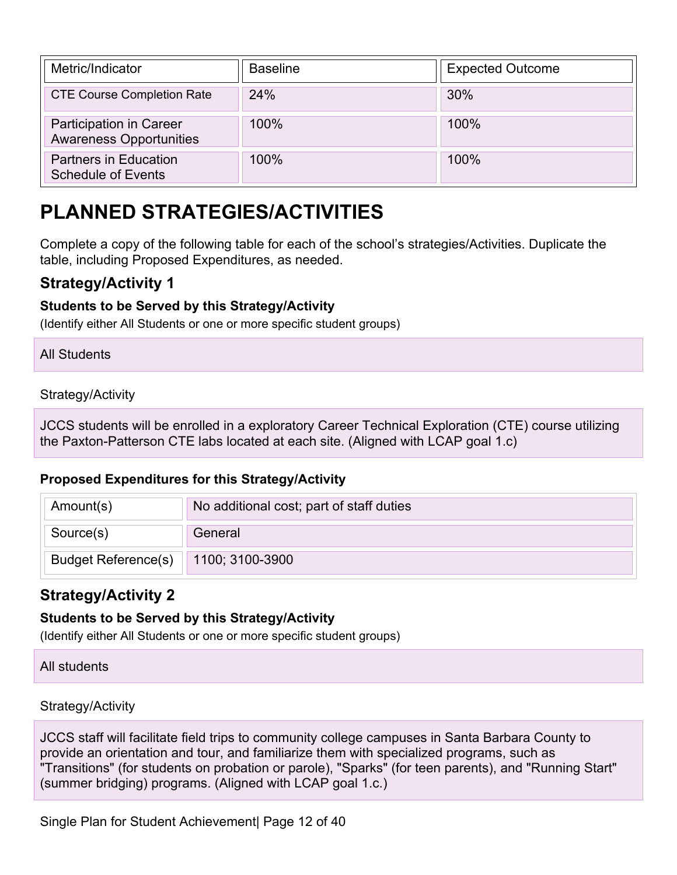| Metric/Indicator                                          | <b>Baseline</b> | <b>Expected Outcome</b> |
|-----------------------------------------------------------|-----------------|-------------------------|
| <b>CTE Course Completion Rate</b>                         | 24%             | 30%                     |
| Participation in Career<br><b>Awareness Opportunities</b> | 100%            | 100%                    |
| <b>Partners in Education</b><br><b>Schedule of Events</b> | 100%            | 100%                    |

# **PLANNED STRATEGIES/ACTIVITIES**

Complete a copy of the following table for each of the school's strategies/Activities. Duplicate the table, including Proposed Expenditures, as needed.

## **Strategy/Activity 1**

#### **Students to be Served by this Strategy/Activity**

(Identify either All Students or one or more specific student groups)

All Students

#### Strategy/Activity

JCCS students will be enrolled in a exploratory Career Technical Exploration (CTE) course utilizing the Paxton-Patterson CTE labs located at each site. (Aligned with LCAP goal 1.c)

#### **Proposed Expenditures for this Strategy/Activity**

| Amount(s)                  | No additional cost; part of staff duties |
|----------------------------|------------------------------------------|
| Source(s)                  | General                                  |
| <b>Budget Reference(s)</b> | 1100; 3100-3900                          |

## **Strategy/Activity 2**

### **Students to be Served by this Strategy/Activity**

(Identify either All Students or one or more specific student groups)

All students

#### Strategy/Activity

JCCS staff will facilitate field trips to community college campuses in Santa Barbara County to provide an orientation and tour, and familiarize them with specialized programs, such as "Transitions" (for students on probation or parole), "Sparks" (for teen parents), and "Running Start" (summer bridging) programs. (Aligned with LCAP goal 1.c.)

Single Plan for Student Achievement| Page 12 of 40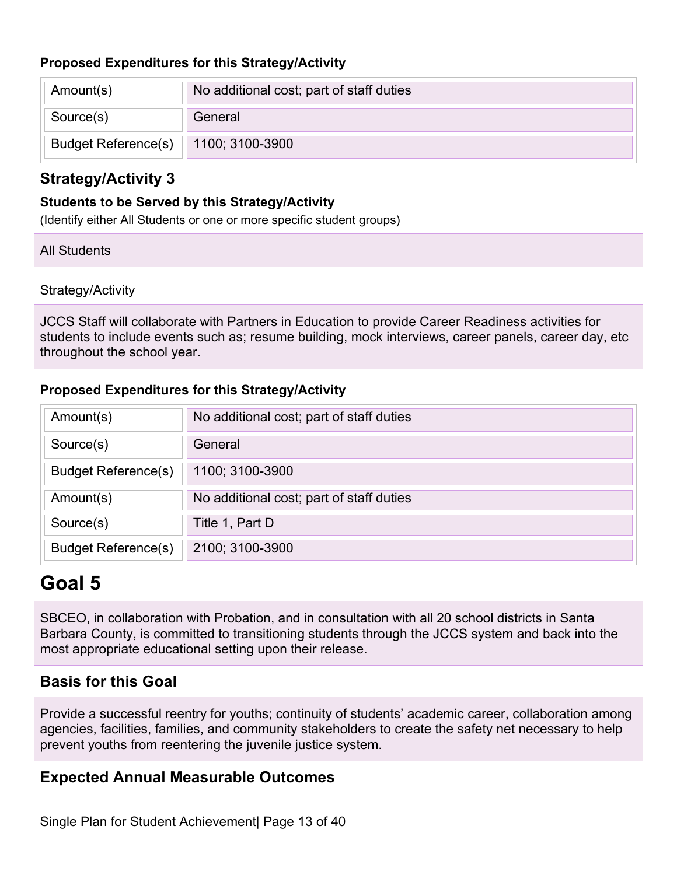## **Proposed Expenditures for this Strategy/Activity**

| Amount(s)                  | No additional cost; part of staff duties |
|----------------------------|------------------------------------------|
| Source(s)                  | General                                  |
| <b>Budget Reference(s)</b> | 1100; 3100-3900                          |

## **Strategy/Activity 3**

#### **Students to be Served by this Strategy/Activity**

(Identify either All Students or one or more specific student groups)

#### All Students

#### Strategy/Activity

JCCS Staff will collaborate with Partners in Education to provide Career Readiness activities for students to include events such as; resume building, mock interviews, career panels, career day, etc throughout the school year.

### **Proposed Expenditures for this Strategy/Activity**

| Amount(s)                  | No additional cost; part of staff duties |
|----------------------------|------------------------------------------|
| Source(s)                  | General                                  |
| <b>Budget Reference(s)</b> | 1100; 3100-3900                          |
| Amount(s)                  | No additional cost; part of staff duties |
| Source(s)                  | Title 1, Part D                          |
| <b>Budget Reference(s)</b> | 2100; 3100-3900                          |

# **Goal 5**

SBCEO, in collaboration with Probation, and in consultation with all 20 school districts in Santa Barbara County, is committed to transitioning students through the JCCS system and back into the most appropriate educational setting upon their release.

## **Basis for this Goal**

Provide a successful reentry for youths; continuity of students' academic career, collaboration among agencies, facilities, families, and community stakeholders to create the safety net necessary to help prevent youths from reentering the juvenile justice system.

## **Expected Annual Measurable Outcomes**

Single Plan for Student Achievement| Page 13 of 40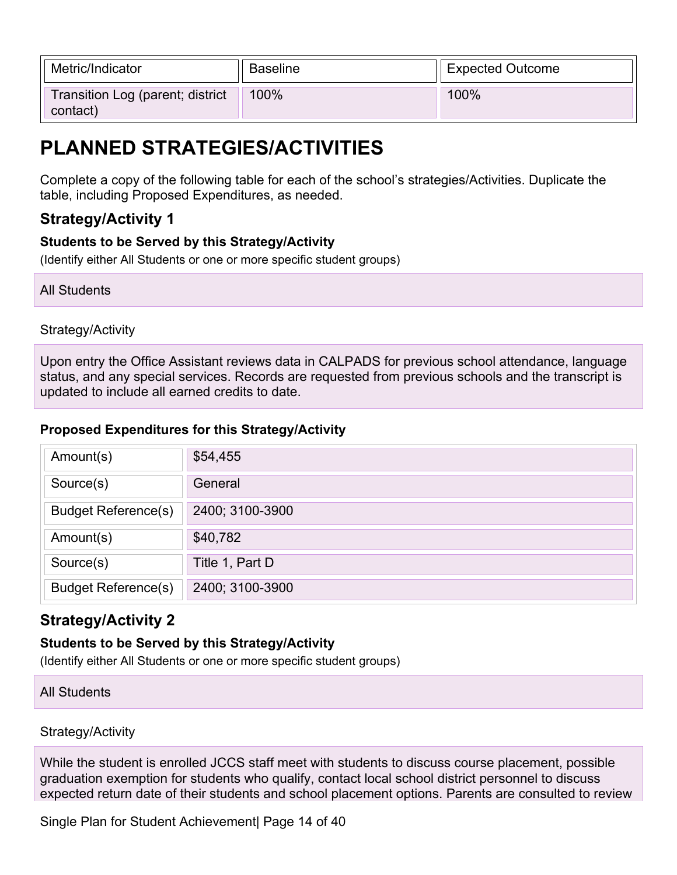| Metric/Indicator                             | Baseline | <b>Expected Outcome</b> |
|----------------------------------------------|----------|-------------------------|
| Transition Log (parent; district<br>contact) | 100%     | $100\%$                 |

# **PLANNED STRATEGIES/ACTIVITIES**

Complete a copy of the following table for each of the school's strategies/Activities. Duplicate the table, including Proposed Expenditures, as needed.

# **Strategy/Activity 1**

## **Students to be Served by this Strategy/Activity**

(Identify either All Students or one or more specific student groups)

### All Students

### Strategy/Activity

Upon entry the Office Assistant reviews data in CALPADS for previous school attendance, language status, and any special services. Records are requested from previous schools and the transcript is updated to include all earned credits to date.

### **Proposed Expenditures for this Strategy/Activity**

| Amount(s)                  | \$54,455        |
|----------------------------|-----------------|
| Source(s)                  | General         |
| <b>Budget Reference(s)</b> | 2400; 3100-3900 |
| Amount(s)                  | \$40,782        |
| Source(s)                  | Title 1, Part D |
| <b>Budget Reference(s)</b> | 2400; 3100-3900 |

## **Strategy/Activity 2**

### **Students to be Served by this Strategy/Activity**

(Identify either All Students or one or more specific student groups)

### All Students

### Strategy/Activity

While the student is enrolled JCCS staff meet with students to discuss course placement, possible graduation exemption for students who qualify, contact local school district personnel to discuss expected return date of their students and school placement options. Parents are consulted to review

Single Plan for Student Achievement| Page 14 of 40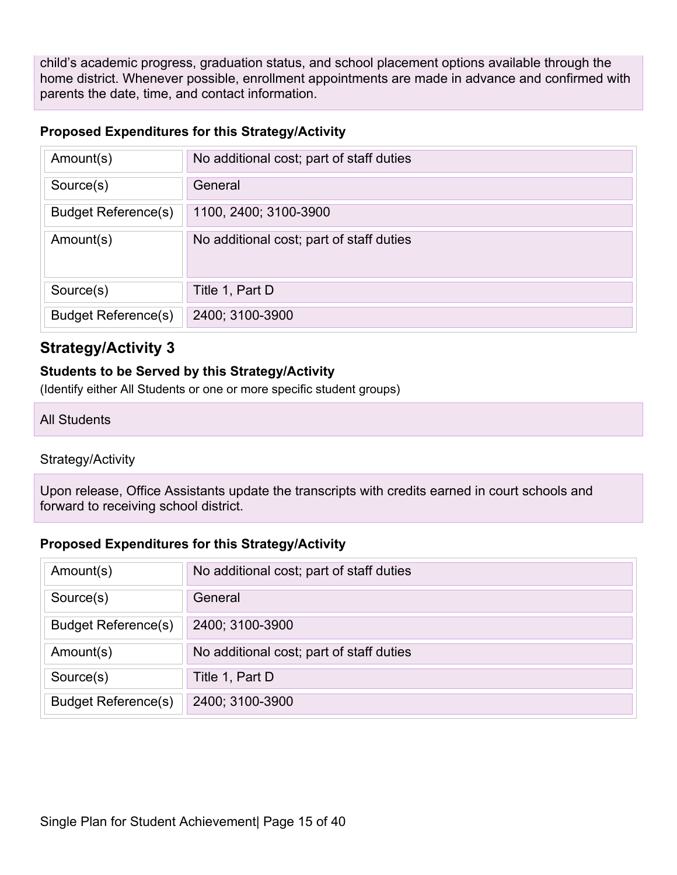child's academic progress, graduation status, and school placement options available through the home district. Whenever possible, enrollment appointments are made in advance and confirmed with parents the date, time, and contact information.

## **Proposed Expenditures for this Strategy/Activity**

| Amount(s)                  | No additional cost; part of staff duties |
|----------------------------|------------------------------------------|
| Source(s)                  | General                                  |
| <b>Budget Reference(s)</b> | 1100, 2400; 3100-3900                    |
| Amount(s)                  | No additional cost; part of staff duties |
| Source(s)                  | Title 1, Part D                          |
| <b>Budget Reference(s)</b> | 2400; 3100-3900                          |

# **Strategy/Activity 3**

### **Students to be Served by this Strategy/Activity**

(Identify either All Students or one or more specific student groups)

#### All Students

#### Strategy/Activity

Upon release, Office Assistants update the transcripts with credits earned in court schools and forward to receiving school district.

#### **Proposed Expenditures for this Strategy/Activity**

| Amount(s)                  | No additional cost; part of staff duties |
|----------------------------|------------------------------------------|
| Source(s)                  | General                                  |
| <b>Budget Reference(s)</b> | 2400; 3100-3900                          |
| Amount(s)                  | No additional cost; part of staff duties |
| Source(s)                  | Title 1, Part D                          |
| <b>Budget Reference(s)</b> | 2400; 3100-3900                          |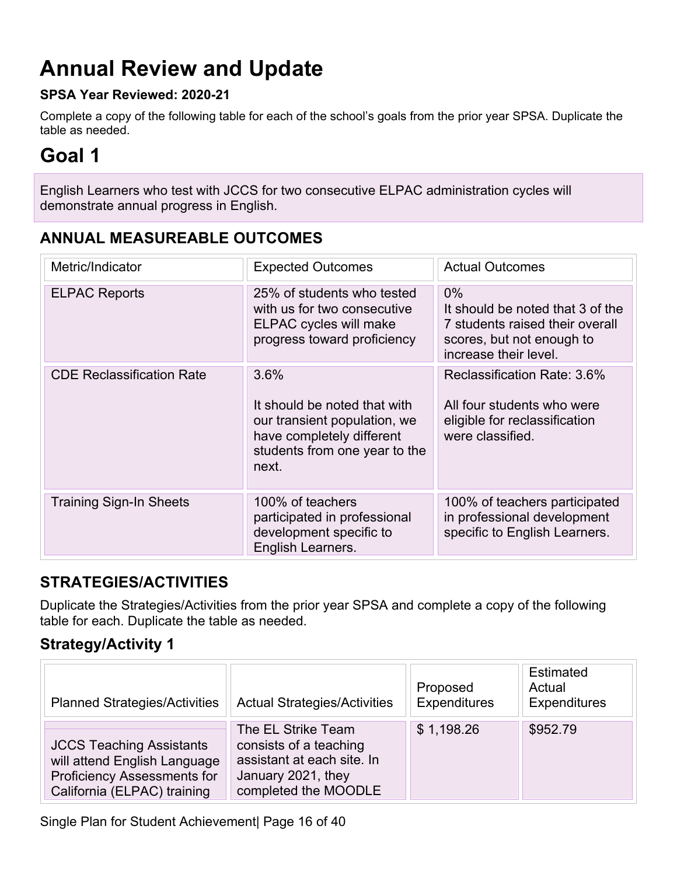# **Annual Review and Update**

## **SPSA Year Reviewed: 2020-21**

Complete a copy of the following table for each of the school's goals from the prior year SPSA. Duplicate the table as needed.

# **Goal 1**

English Learners who test with JCCS for two consecutive ELPAC administration cycles will demonstrate annual progress in English.

# **ANNUAL MEASUREABLE OUTCOMES**

| Metric/Indicator                 | <b>Expected Outcomes</b>                                                                                                                    | <b>Actual Outcomes</b>                                                                                                             |
|----------------------------------|---------------------------------------------------------------------------------------------------------------------------------------------|------------------------------------------------------------------------------------------------------------------------------------|
| <b>ELPAC Reports</b>             | 25% of students who tested<br>with us for two consecutive<br>ELPAC cycles will make<br>progress toward proficiency                          | $0\%$<br>It should be noted that 3 of the<br>7 students raised their overall<br>scores, but not enough to<br>increase their level. |
| <b>CDE Reclassification Rate</b> | 3.6%<br>It should be noted that with<br>our transient population, we<br>have completely different<br>students from one year to the<br>next. | Reclassification Rate: 3.6%<br>All four students who were<br>eligible for reclassification<br>were classified.                     |
| <b>Training Sign-In Sheets</b>   | 100% of teachers<br>participated in professional<br>development specific to<br>English Learners.                                            | 100% of teachers participated<br>in professional development<br>specific to English Learners.                                      |

# **STRATEGIES/ACTIVITIES**

Duplicate the Strategies/Activities from the prior year SPSA and complete a copy of the following table for each. Duplicate the table as needed.

## **Strategy/Activity 1**

| <b>Planned Strategies/Activities</b>                                                                                                 | <b>Actual Strategies/Activities</b>                                                                                      | Proposed<br>Expenditures | <b>Estimated</b><br>Actual<br><b>Expenditures</b> |
|--------------------------------------------------------------------------------------------------------------------------------------|--------------------------------------------------------------------------------------------------------------------------|--------------------------|---------------------------------------------------|
| <b>JCCS Teaching Assistants</b><br>will attend English Language<br><b>Proficiency Assessments for</b><br>California (ELPAC) training | The EL Strike Team<br>consists of a teaching<br>assistant at each site. In<br>January 2021, they<br>completed the MOODLE | \$1,198.26               | \$952.79                                          |

Single Plan for Student Achievement| Page 16 of 40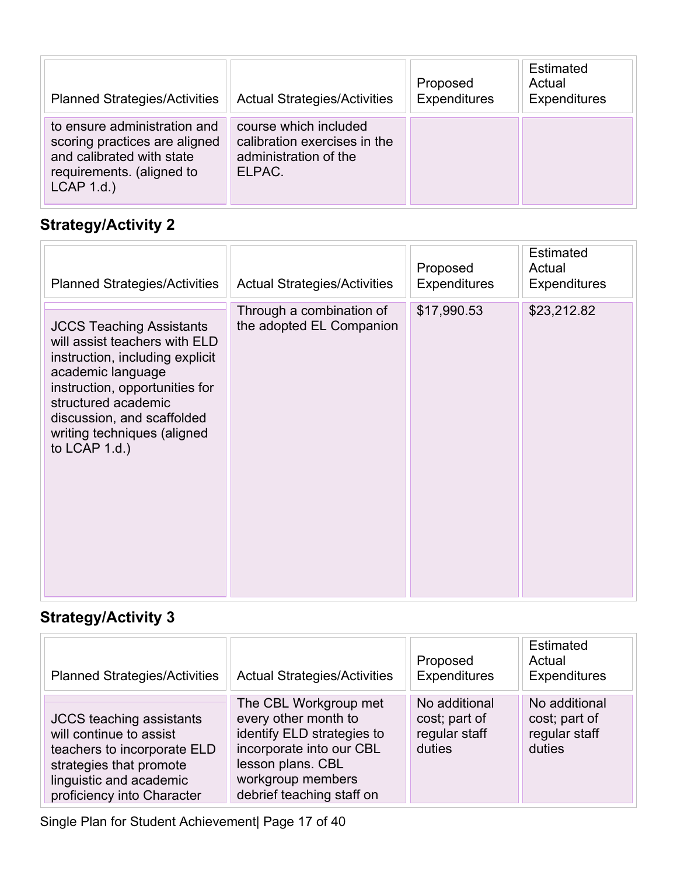| <b>Planned Strategies/Activities</b>                                                                                                 | <b>Actual Strategies/Activities</b>                                                      | Proposed<br>Expenditures | Estimated<br>Actual<br><b>Expenditures</b> |
|--------------------------------------------------------------------------------------------------------------------------------------|------------------------------------------------------------------------------------------|--------------------------|--------------------------------------------|
| to ensure administration and<br>scoring practices are aligned<br>and calibrated with state<br>requirements. (aligned to<br>LCAP 1.d. | course which included<br>calibration exercises in the<br>administration of the<br>ELPAC. |                          |                                            |

| <b>Planned Strategies/Activities</b>                                                                                                                                                                                                                              | <b>Actual Strategies/Activities</b>                  | Proposed<br><b>Expenditures</b> | <b>Estimated</b><br>Actual<br><b>Expenditures</b> |
|-------------------------------------------------------------------------------------------------------------------------------------------------------------------------------------------------------------------------------------------------------------------|------------------------------------------------------|---------------------------------|---------------------------------------------------|
| <b>JCCS Teaching Assistants</b><br>will assist teachers with ELD<br>instruction, including explicit<br>academic language<br>instruction, opportunities for<br>structured academic<br>discussion, and scaffolded<br>writing techniques (aligned<br>to $LCAP$ 1.d.) | Through a combination of<br>the adopted EL Companion | \$17,990.53                     | \$23,212.82                                       |

# **Strategy/Activity 3**

| <b>Planned Strategies/Activities</b>                                                                                                                                          | <b>Actual Strategies/Activities</b>                                                                                                                                            | Proposed<br>Expenditures                                  | Estimated<br>Actual<br><b>Expenditures</b>                |
|-------------------------------------------------------------------------------------------------------------------------------------------------------------------------------|--------------------------------------------------------------------------------------------------------------------------------------------------------------------------------|-----------------------------------------------------------|-----------------------------------------------------------|
| <b>JCCS</b> teaching assistants<br>will continue to assist<br>teachers to incorporate ELD<br>strategies that promote<br>linguistic and academic<br>proficiency into Character | The CBL Workgroup met<br>every other month to<br>identify ELD strategies to<br>incorporate into our CBL<br>lesson plans. CBL<br>workgroup members<br>debrief teaching staff on | No additional<br>cost; part of<br>regular staff<br>duties | No additional<br>cost; part of<br>regular staff<br>duties |

Single Plan for Student Achievement| Page 17 of 40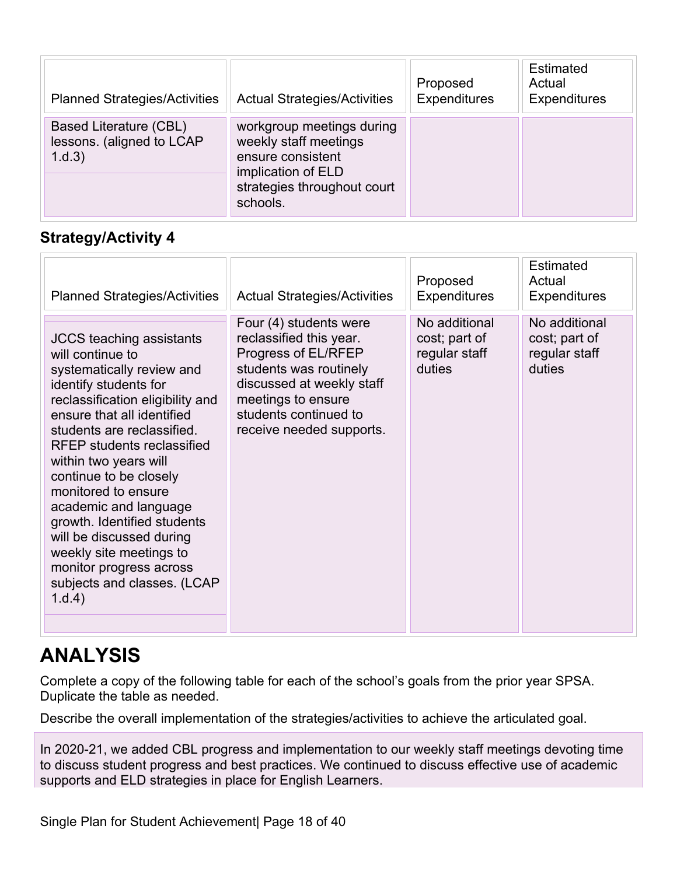| <b>Planned Strategies/Activities</b>                                 | <b>Actual Strategies/Activities</b>                                                                                                      | Proposed<br><b>Expenditures</b> | <b>Estimated</b><br>Actual<br><b>Expenditures</b> |
|----------------------------------------------------------------------|------------------------------------------------------------------------------------------------------------------------------------------|---------------------------------|---------------------------------------------------|
| <b>Based Literature (CBL)</b><br>lessons. (aligned to LCAP<br>1.d.3) | workgroup meetings during<br>weekly staff meetings<br>ensure consistent<br>implication of ELD<br>strategies throughout court<br>schools. |                                 |                                                   |

| No additional<br>No additional<br>Four (4) students were<br>reclassified this year.<br>cost; part of<br>cost; part of<br><b>JCCS</b> teaching assistants<br>Progress of EL/RFEP<br>regular staff<br>regular staff<br>will continue to<br>students was routinely<br>duties<br>duties<br>systematically review and<br>discussed at weekly staff<br>identify students for<br>meetings to ensure<br>reclassification eligibility and | <b>Planned Strategies/Activities</b> | <b>Actual Strategies/Activities</b> | Proposed<br><b>Expenditures</b> | <b>Estimated</b><br>Actual<br><b>Expenditures</b> |
|----------------------------------------------------------------------------------------------------------------------------------------------------------------------------------------------------------------------------------------------------------------------------------------------------------------------------------------------------------------------------------------------------------------------------------|--------------------------------------|-------------------------------------|---------------------------------|---------------------------------------------------|
| receive needed supports.<br>students are reclassified.<br><b>RFEP</b> students reclassified<br>within two years will<br>continue to be closely<br>monitored to ensure<br>academic and language<br>growth. Identified students<br>will be discussed during<br>weekly site meetings to<br>monitor progress across<br>subjects and classes. (LCAP<br>1.d.4)                                                                         | ensure that all identified           | students continued to               |                                 |                                                   |

# **ANALYSIS**

Complete a copy of the following table for each of the school's goals from the prior year SPSA. Duplicate the table as needed.

Describe the overall implementation of the strategies/activities to achieve the articulated goal.

In 2020-21, we added CBL progress and implementation to our weekly staff meetings devoting time to discuss student progress and best practices. We continued to discuss effective use of academic supports and ELD strategies in place for English Learners.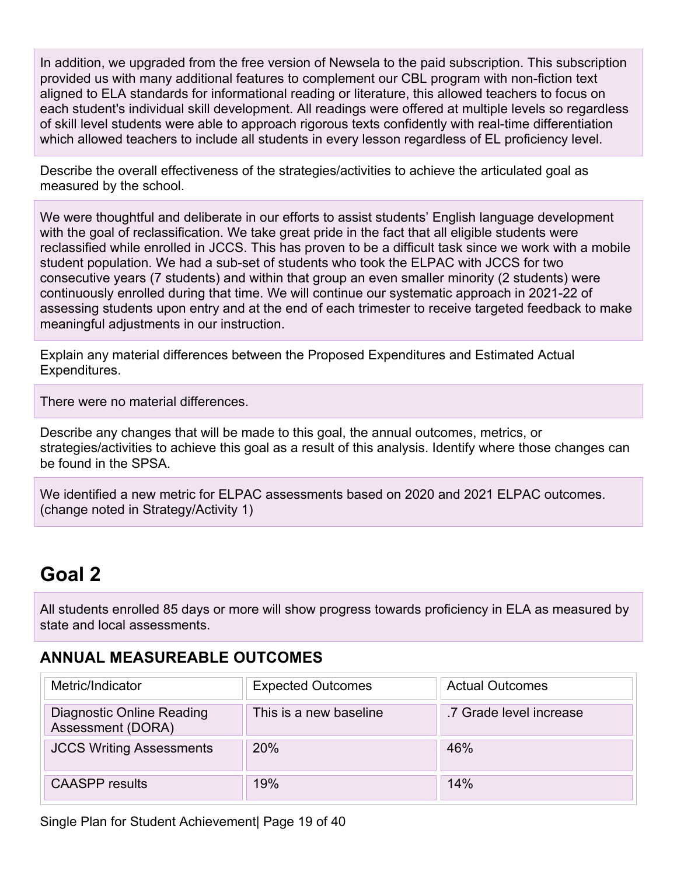In addition, we upgraded from the free version of Newsela to the paid subscription. This subscription provided us with many additional features to complement our CBL program with non-fiction text aligned to ELA standards for informational reading or literature, this allowed teachers to focus on each student's individual skill development. All readings were offered at multiple levels so regardless of skill level students were able to approach rigorous texts confidently with real-time differentiation which allowed teachers to include all students in every lesson regardless of EL proficiency level.

Describe the overall effectiveness of the strategies/activities to achieve the articulated goal as measured by the school.

We were thoughtful and deliberate in our efforts to assist students' English language development with the goal of reclassification. We take great pride in the fact that all eligible students were reclassified while enrolled in JCCS. This has proven to be a difficult task since we work with a mobile student population. We had a sub-set of students who took the ELPAC with JCCS for two consecutive years (7 students) and within that group an even smaller minority (2 students) were continuously enrolled during that time. We will continue our systematic approach in 2021-22 of assessing students upon entry and at the end of each trimester to receive targeted feedback to make meaningful adjustments in our instruction.

Explain any material differences between the Proposed Expenditures and Estimated Actual Expenditures.

There were no material differences.

Describe any changes that will be made to this goal, the annual outcomes, metrics, or strategies/activities to achieve this goal as a result of this analysis. Identify where those changes can be found in the SPSA.

We identified a new metric for ELPAC assessments based on 2020 and 2021 ELPAC outcomes. (change noted in Strategy/Activity 1)

# **Goal 2**

All students enrolled 85 days or more will show progress towards proficiency in ELA as measured by state and local assessments.

# **ANNUAL MEASUREABLE OUTCOMES**

| Metric/Indicator                                      | <b>Expected Outcomes</b> | <b>Actual Outcomes</b>  |
|-------------------------------------------------------|--------------------------|-------------------------|
| <b>Diagnostic Online Reading</b><br>Assessment (DORA) | This is a new baseline   | .7 Grade level increase |
| <b>JCCS Writing Assessments</b>                       | <b>20%</b>               | 46%                     |
| <b>CAASPP</b> results                                 | 19%                      | 14%                     |

Single Plan for Student Achievement| Page 19 of 40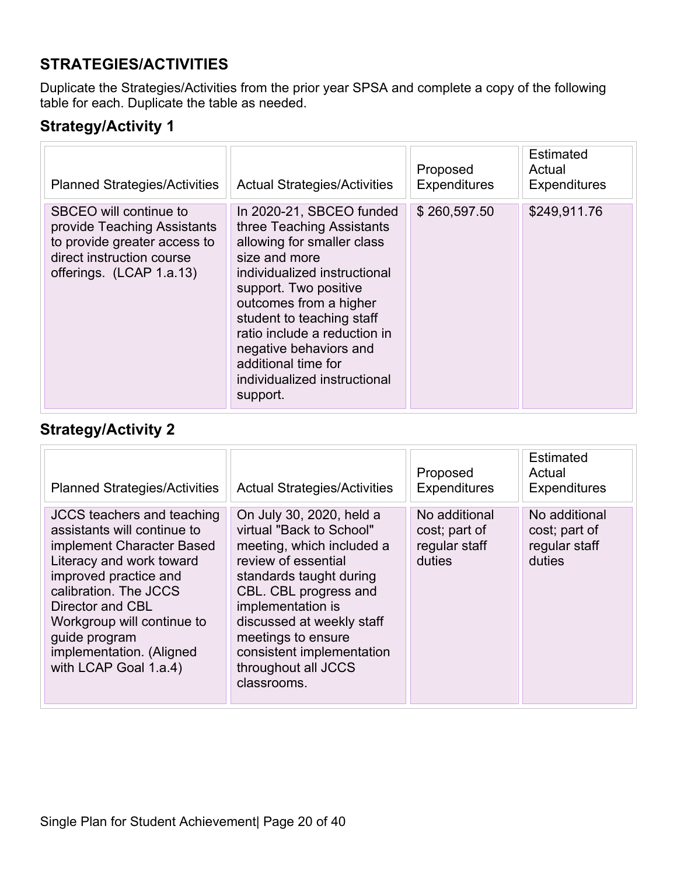# **STRATEGIES/ACTIVITIES**

Duplicate the Strategies/Activities from the prior year SPSA and complete a copy of the following table for each. Duplicate the table as needed.

# **Strategy/Activity 1**

| <b>Planned Strategies/Activities</b>                                                                                                           | <b>Actual Strategies/Activities</b>                                                                                                                                                                                                                                                                                                               | Proposed<br><b>Expenditures</b> | Estimated<br>Actual<br><b>Expenditures</b> |
|------------------------------------------------------------------------------------------------------------------------------------------------|---------------------------------------------------------------------------------------------------------------------------------------------------------------------------------------------------------------------------------------------------------------------------------------------------------------------------------------------------|---------------------------------|--------------------------------------------|
| SBCEO will continue to<br>provide Teaching Assistants<br>to provide greater access to<br>direct instruction course<br>offerings. (LCAP 1.a.13) | In 2020-21, SBCEO funded<br>three Teaching Assistants<br>allowing for smaller class<br>size and more<br>individualized instructional<br>support. Two positive<br>outcomes from a higher<br>student to teaching staff<br>ratio include a reduction in<br>negative behaviors and<br>additional time for<br>individualized instructional<br>support. | \$260,597.50                    | \$249,911.76                               |

# **Strategy/Activity 2**

| <b>Planned Strategies/Activities</b>                                                                                                                                                                                                                                                                | <b>Actual Strategies/Activities</b>                                                                                                                                                                                                                                                                     | Proposed<br><b>Expenditures</b>                           | Estimated<br>Actual<br><b>Expenditures</b>                |
|-----------------------------------------------------------------------------------------------------------------------------------------------------------------------------------------------------------------------------------------------------------------------------------------------------|---------------------------------------------------------------------------------------------------------------------------------------------------------------------------------------------------------------------------------------------------------------------------------------------------------|-----------------------------------------------------------|-----------------------------------------------------------|
| <b>JCCS</b> teachers and teaching<br>assistants will continue to<br>implement Character Based<br>Literacy and work toward<br>improved practice and<br>calibration. The JCCS<br>Director and CBL<br>Workgroup will continue to<br>guide program<br>implementation. (Aligned<br>with LCAP Goal 1.a.4) | On July 30, 2020, held a<br>virtual "Back to School"<br>meeting, which included a<br>review of essential<br>standards taught during<br>CBL. CBL progress and<br>implementation is<br>discussed at weekly staff<br>meetings to ensure<br>consistent implementation<br>throughout all JCCS<br>classrooms. | No additional<br>cost; part of<br>regular staff<br>duties | No additional<br>cost; part of<br>regular staff<br>duties |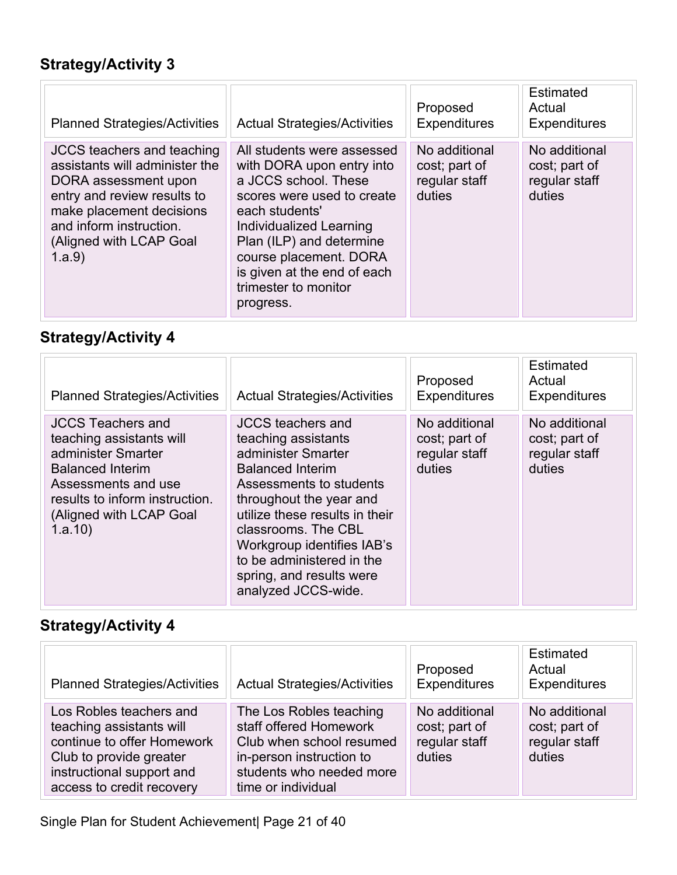| <b>Planned Strategies/Activities</b>                                                                                                                                                                                   | <b>Actual Strategies/Activities</b>                                                                                                                                                                                                                                                  | Proposed<br><b>Expenditures</b>                           | Estimated<br>Actual<br><b>Expenditures</b>                |
|------------------------------------------------------------------------------------------------------------------------------------------------------------------------------------------------------------------------|--------------------------------------------------------------------------------------------------------------------------------------------------------------------------------------------------------------------------------------------------------------------------------------|-----------------------------------------------------------|-----------------------------------------------------------|
| <b>JCCS</b> teachers and teaching<br>assistants will administer the<br>DORA assessment upon<br>entry and review results to<br>make placement decisions<br>and inform instruction.<br>(Aligned with LCAP Goal<br>1.a.9) | All students were assessed<br>with DORA upon entry into<br>a JCCS school. These<br>scores were used to create<br>each students'<br>Individualized Learning<br>Plan (ILP) and determine<br>course placement. DORA<br>is given at the end of each<br>trimester to monitor<br>progress. | No additional<br>cost; part of<br>regular staff<br>duties | No additional<br>cost; part of<br>regular staff<br>duties |

# **Strategy/Activity 4**

| <b>Planned Strategies/Activities</b>                                                                                                                                                                | <b>Actual Strategies/Activities</b>                                                                                                                                                                                                                                                                                           | Proposed<br><b>Expenditures</b>                           | Estimated<br>Actual<br><b>Expenditures</b>                |
|-----------------------------------------------------------------------------------------------------------------------------------------------------------------------------------------------------|-------------------------------------------------------------------------------------------------------------------------------------------------------------------------------------------------------------------------------------------------------------------------------------------------------------------------------|-----------------------------------------------------------|-----------------------------------------------------------|
| <b>JCCS Teachers and</b><br>teaching assistants will<br>administer Smarter<br><b>Balanced Interim</b><br>Assessments and use<br>results to inform instruction.<br>(Aligned with LCAP Goal<br>1.a.10 | <b>JCCS</b> teachers and<br>teaching assistants<br>administer Smarter<br><b>Balanced Interim</b><br>Assessments to students<br>throughout the year and<br>utilize these results in their<br>classrooms. The CBL<br>Workgroup identifies IAB's<br>to be administered in the<br>spring, and results were<br>analyzed JCCS-wide. | No additional<br>cost; part of<br>regular staff<br>duties | No additional<br>cost; part of<br>regular staff<br>duties |

# **Strategy/Activity 4**

| <b>Planned Strategies/Activities</b>                                                                                                                                   | <b>Actual Strategies/Activities</b>                                                                                                                         | Proposed<br><b>Expenditures</b>                           | Estimated<br>Actual<br>Expenditures                       |
|------------------------------------------------------------------------------------------------------------------------------------------------------------------------|-------------------------------------------------------------------------------------------------------------------------------------------------------------|-----------------------------------------------------------|-----------------------------------------------------------|
| Los Robles teachers and<br>teaching assistants will<br>continue to offer Homework<br>Club to provide greater<br>instructional support and<br>access to credit recovery | The Los Robles teaching<br>staff offered Homework<br>Club when school resumed<br>in-person instruction to<br>students who needed more<br>time or individual | No additional<br>cost; part of<br>regular staff<br>duties | No additional<br>cost; part of<br>regular staff<br>duties |

Single Plan for Student Achievement| Page 21 of 40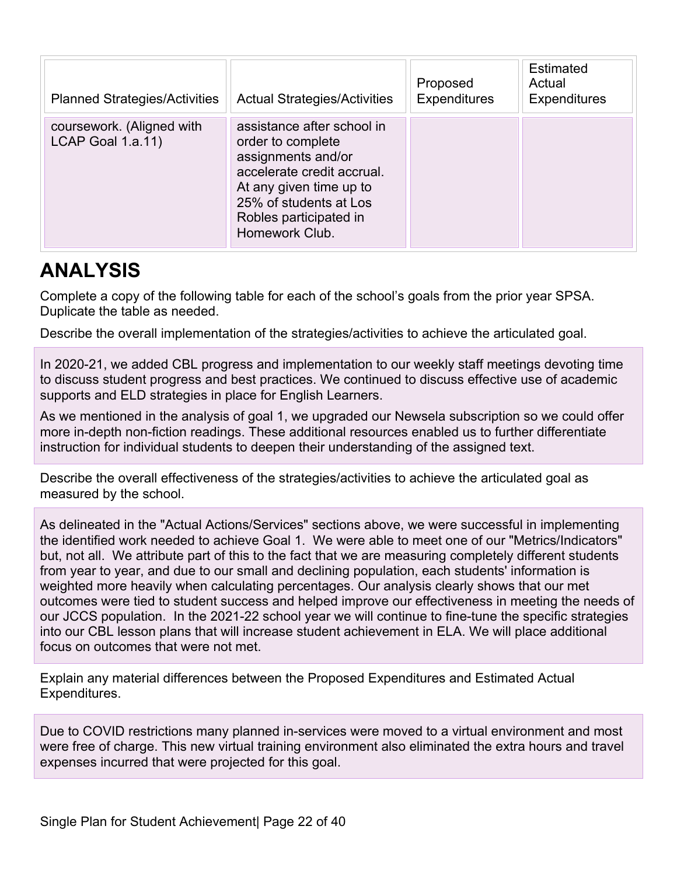| <b>Planned Strategies/Activities</b>           | <b>Actual Strategies/Activities</b>                                                                                                                                                                  | Proposed<br><b>Expenditures</b> | Estimated<br>Actual<br><b>Expenditures</b> |
|------------------------------------------------|------------------------------------------------------------------------------------------------------------------------------------------------------------------------------------------------------|---------------------------------|--------------------------------------------|
| coursework. (Aligned with<br>LCAP Goal 1.a.11) | assistance after school in<br>order to complete<br>assignments and/or<br>accelerate credit accrual.<br>At any given time up to<br>25% of students at Los<br>Robles participated in<br>Homework Club. |                                 |                                            |

# **ANALYSIS**

Complete a copy of the following table for each of the school's goals from the prior year SPSA. Duplicate the table as needed.

Describe the overall implementation of the strategies/activities to achieve the articulated goal.

In 2020-21, we added CBL progress and implementation to our weekly staff meetings devoting time to discuss student progress and best practices. We continued to discuss effective use of academic supports and ELD strategies in place for English Learners.

As we mentioned in the analysis of goal 1, we upgraded our Newsela subscription so we could offer more in-depth non-fiction readings. These additional resources enabled us to further differentiate instruction for individual students to deepen their understanding of the assigned text.

Describe the overall effectiveness of the strategies/activities to achieve the articulated goal as measured by the school.

As delineated in the "Actual Actions/Services" sections above, we were successful in implementing the identified work needed to achieve Goal 1. We were able to meet one of our "Metrics/Indicators" but, not all. We attribute part of this to the fact that we are measuring completely different students from year to year, and due to our small and declining population, each students' information is weighted more heavily when calculating percentages. Our analysis clearly shows that our met outcomes were tied to student success and helped improve our effectiveness in meeting the needs of our JCCS population. In the 2021-22 school year we will continue to fine-tune the specific strategies into our CBL lesson plans that will increase student achievement in ELA. We will place additional focus on outcomes that were not met.

Explain any material differences between the Proposed Expenditures and Estimated Actual Expenditures.

Due to COVID restrictions many planned in-services were moved to a virtual environment and most were free of charge. This new virtual training environment also eliminated the extra hours and travel expenses incurred that were projected for this goal.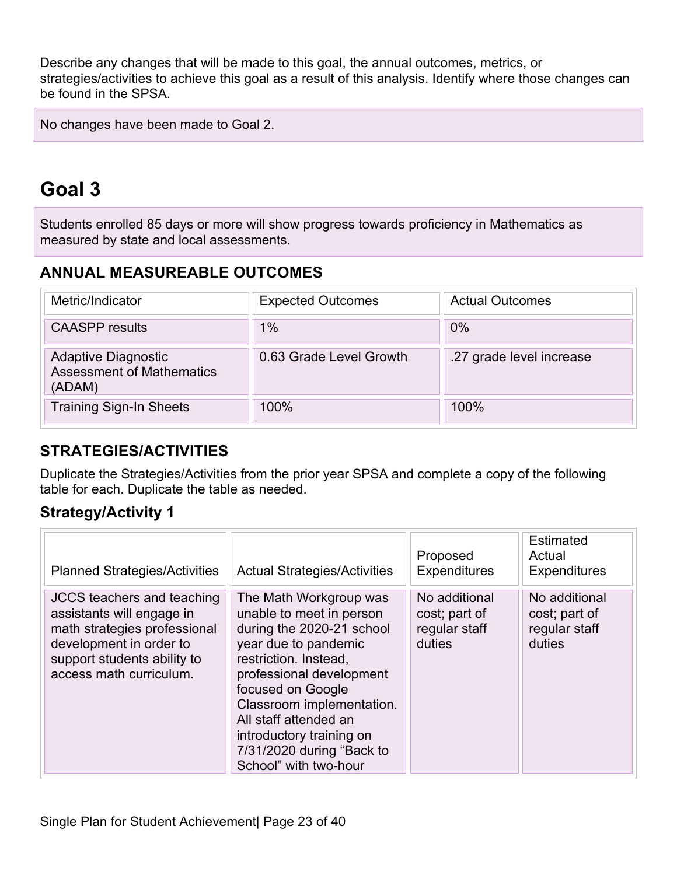Describe any changes that will be made to this goal, the annual outcomes, metrics, or strategies/activities to achieve this goal as a result of this analysis. Identify where those changes can be found in the SPSA.

No changes have been made to Goal 2.

# **Goal 3**

Students enrolled 85 days or more will show progress towards proficiency in Mathematics as measured by state and local assessments.

# **ANNUAL MEASUREABLE OUTCOMES**

| Metric/Indicator                                                         | <b>Expected Outcomes</b> | <b>Actual Outcomes</b>   |
|--------------------------------------------------------------------------|--------------------------|--------------------------|
| <b>CAASPP</b> results                                                    | $1\%$                    | 0%                       |
| <b>Adaptive Diagnostic</b><br><b>Assessment of Mathematics</b><br>(ADAM) | 0.63 Grade Level Growth  | .27 grade level increase |
| <b>Training Sign-In Sheets</b>                                           | 100%                     | 100%                     |

# **STRATEGIES/ACTIVITIES**

Duplicate the Strategies/Activities from the prior year SPSA and complete a copy of the following table for each. Duplicate the table as needed.

# **Strategy/Activity 1**

| <b>Planned Strategies/Activities</b>                                                                                                                                                | <b>Actual Strategies/Activities</b>                                                                                                                                                                                                                                                                                       | Proposed<br><b>Expenditures</b>                           | Estimated<br>Actual<br><b>Expenditures</b>                |
|-------------------------------------------------------------------------------------------------------------------------------------------------------------------------------------|---------------------------------------------------------------------------------------------------------------------------------------------------------------------------------------------------------------------------------------------------------------------------------------------------------------------------|-----------------------------------------------------------|-----------------------------------------------------------|
| <b>JCCS</b> teachers and teaching<br>assistants will engage in<br>math strategies professional<br>development in order to<br>support students ability to<br>access math curriculum. | The Math Workgroup was<br>unable to meet in person<br>during the 2020-21 school<br>year due to pandemic<br>restriction. Instead,<br>professional development<br>focused on Google<br>Classroom implementation.<br>All staff attended an<br>introductory training on<br>7/31/2020 during "Back to<br>School" with two-hour | No additional<br>cost; part of<br>regular staff<br>duties | No additional<br>cost; part of<br>regular staff<br>duties |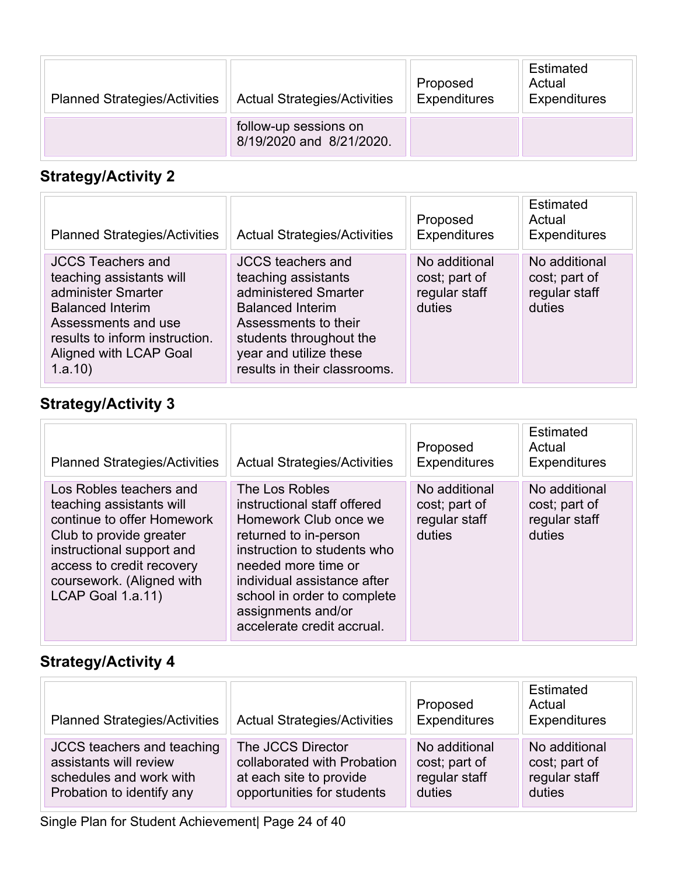| <b>Planned Strategies/Activities</b> | <b>Actual Strategies/Activities</b>               | Proposed<br>Expenditures | Estimated<br>Actual<br><b>Expenditures</b> |
|--------------------------------------|---------------------------------------------------|--------------------------|--------------------------------------------|
|                                      | follow-up sessions on<br>8/19/2020 and 8/21/2020. |                          |                                            |

| <b>Planned Strategies/Activities</b>                                                                                                                                                               | <b>Actual Strategies/Activities</b>                                                                                                                                                                             | Proposed<br><b>Expenditures</b>                           | Estimated<br>Actual<br><b>Expenditures</b>                |
|----------------------------------------------------------------------------------------------------------------------------------------------------------------------------------------------------|-----------------------------------------------------------------------------------------------------------------------------------------------------------------------------------------------------------------|-----------------------------------------------------------|-----------------------------------------------------------|
| <b>JCCS Teachers and</b><br>teaching assistants will<br>administer Smarter<br><b>Balanced Interim</b><br>Assessments and use<br>results to inform instruction.<br>Aligned with LCAP Goal<br>1.a.10 | <b>JCCS</b> teachers and<br>teaching assistants<br>administered Smarter<br><b>Balanced Interim</b><br>Assessments to their<br>students throughout the<br>year and utilize these<br>results in their classrooms. | No additional<br>cost; part of<br>regular staff<br>duties | No additional<br>cost; part of<br>regular staff<br>duties |

# **Strategy/Activity 3**

| <b>Planned Strategies/Activities</b>                                                                                                                                                                                     | <b>Actual Strategies/Activities</b>                                                                                                                                                                                                                                     | Proposed<br>Expenditures                                  | <b>Estimated</b><br>Actual<br><b>Expenditures</b>         |
|--------------------------------------------------------------------------------------------------------------------------------------------------------------------------------------------------------------------------|-------------------------------------------------------------------------------------------------------------------------------------------------------------------------------------------------------------------------------------------------------------------------|-----------------------------------------------------------|-----------------------------------------------------------|
| Los Robles teachers and<br>teaching assistants will<br>continue to offer Homework<br>Club to provide greater<br>instructional support and<br>access to credit recovery<br>coursework. (Aligned with<br>LCAP Goal 1.a.11) | The Los Robles<br>instructional staff offered<br>Homework Club once we<br>returned to in-person<br>instruction to students who<br>needed more time or<br>individual assistance after<br>school in order to complete<br>assignments and/or<br>accelerate credit accrual. | No additional<br>cost; part of<br>regular staff<br>duties | No additional<br>cost; part of<br>regular staff<br>duties |

# **Strategy/Activity 4**

| <b>Planned Strategies/Activities</b> | <b>Actual Strategies/Activities</b> | Proposed<br>Expenditures | Estimated<br>Actual<br>Expenditures |
|--------------------------------------|-------------------------------------|--------------------------|-------------------------------------|
| <b>JCCS</b> teachers and teaching    | The JCCS Director                   | No additional            | No additional                       |
| assistants will review               | collaborated with Probation         | cost; part of            | cost; part of                       |
| schedules and work with              | at each site to provide             | regular staff            | regular staff                       |
| Probation to identify any            | opportunities for students          | duties                   | duties                              |

Single Plan for Student Achievement| Page 24 of 40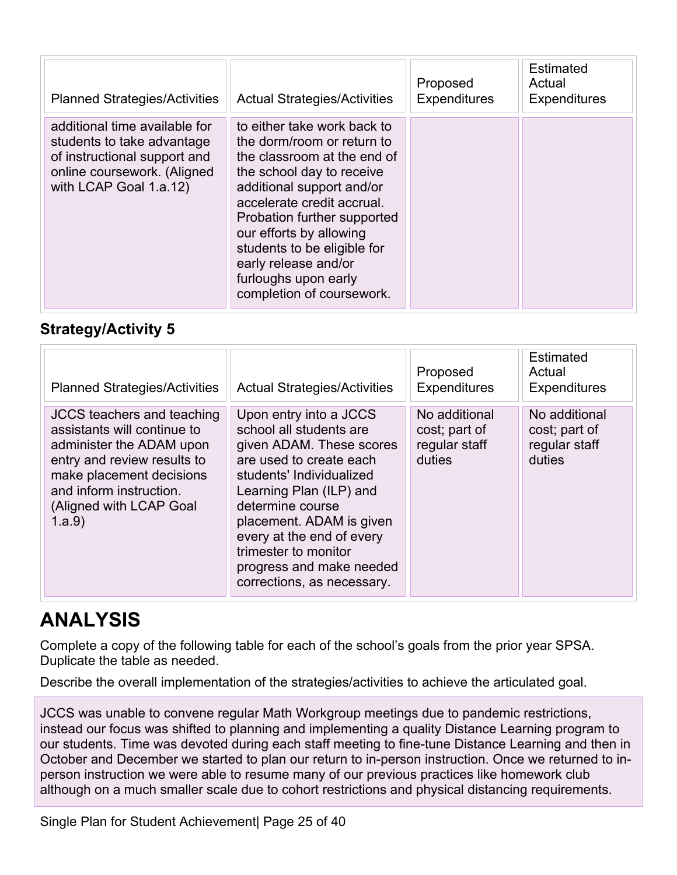| <b>Planned Strategies/Activities</b>                                                                                                                 | <b>Actual Strategies/Activities</b>                                                                                                                                                                                                                                                                                                                    | Proposed<br><b>Expenditures</b> | Estimated<br>Actual<br><b>Expenditures</b> |
|------------------------------------------------------------------------------------------------------------------------------------------------------|--------------------------------------------------------------------------------------------------------------------------------------------------------------------------------------------------------------------------------------------------------------------------------------------------------------------------------------------------------|---------------------------------|--------------------------------------------|
| additional time available for<br>students to take advantage<br>of instructional support and<br>online coursework. (Aligned<br>with LCAP Goal 1.a.12) | to either take work back to<br>the dorm/room or return to<br>the classroom at the end of<br>the school day to receive<br>additional support and/or<br>accelerate credit accrual.<br>Probation further supported<br>our efforts by allowing<br>students to be eligible for<br>early release and/or<br>furloughs upon early<br>completion of coursework. |                                 |                                            |

| <b>Planned Strategies/Activities</b>                                                                                                                                                                                    | <b>Actual Strategies/Activities</b>                                                                                                                                                                                                                                                                                            | Proposed<br><b>Expenditures</b>                           | <b>Estimated</b><br>Actual<br><b>Expenditures</b>         |
|-------------------------------------------------------------------------------------------------------------------------------------------------------------------------------------------------------------------------|--------------------------------------------------------------------------------------------------------------------------------------------------------------------------------------------------------------------------------------------------------------------------------------------------------------------------------|-----------------------------------------------------------|-----------------------------------------------------------|
| <b>JCCS</b> teachers and teaching<br>assistants will continue to<br>administer the ADAM upon<br>entry and review results to<br>make placement decisions<br>and inform instruction.<br>(Aligned with LCAP Goal<br>1.a.9) | Upon entry into a JCCS<br>school all students are<br>given ADAM. These scores<br>are used to create each<br>students' Individualized<br>Learning Plan (ILP) and<br>determine course<br>placement. ADAM is given<br>every at the end of every<br>trimester to monitor<br>progress and make needed<br>corrections, as necessary. | No additional<br>cost; part of<br>regular staff<br>duties | No additional<br>cost; part of<br>regular staff<br>duties |

# **ANALYSIS**

Complete a copy of the following table for each of the school's goals from the prior year SPSA. Duplicate the table as needed.

Describe the overall implementation of the strategies/activities to achieve the articulated goal.

JCCS was unable to convene regular Math Workgroup meetings due to pandemic restrictions, instead our focus was shifted to planning and implementing a quality Distance Learning program to our students. Time was devoted during each staff meeting to fine-tune Distance Learning and then in October and December we started to plan our return to in-person instruction. Once we returned to inperson instruction we were able to resume many of our previous practices like homework club although on a much smaller scale due to cohort restrictions and physical distancing requirements.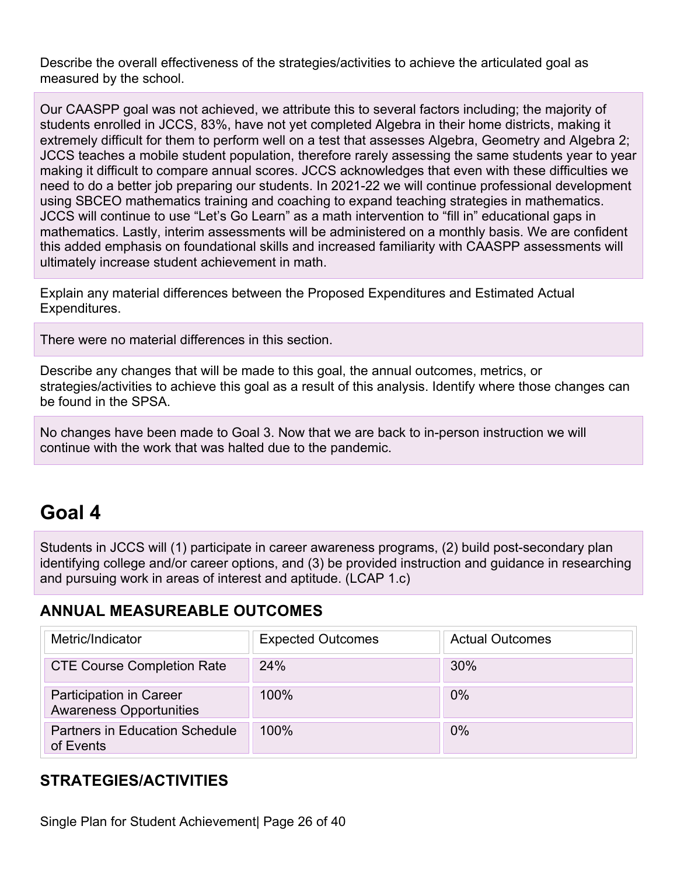Describe the overall effectiveness of the strategies/activities to achieve the articulated goal as measured by the school.

Our CAASPP goal was not achieved, we attribute this to several factors including; the majority of students enrolled in JCCS, 83%, have not yet completed Algebra in their home districts, making it extremely difficult for them to perform well on a test that assesses Algebra, Geometry and Algebra 2; JCCS teaches a mobile student population, therefore rarely assessing the same students year to year making it difficult to compare annual scores. JCCS acknowledges that even with these difficulties we need to do a better job preparing our students. In 2021-22 we will continue professional development using SBCEO mathematics training and coaching to expand teaching strategies in mathematics. JCCS will continue to use "Let's Go Learn" as a math intervention to "fill in" educational gaps in mathematics. Lastly, interim assessments will be administered on a monthly basis. We are confident this added emphasis on foundational skills and increased familiarity with CAASPP assessments will ultimately increase student achievement in math.

Explain any material differences between the Proposed Expenditures and Estimated Actual Expenditures.

There were no material differences in this section.

Describe any changes that will be made to this goal, the annual outcomes, metrics, or strategies/activities to achieve this goal as a result of this analysis. Identify where those changes can be found in the SPSA.

No changes have been made to Goal 3. Now that we are back to in-person instruction we will continue with the work that was halted due to the pandemic.

# **Goal 4**

Students in JCCS will (1) participate in career awareness programs, (2) build post-secondary plan identifying college and/or career options, and (3) be provided instruction and guidance in researching and pursuing work in areas of interest and aptitude. (LCAP 1.c)

## **ANNUAL MEASUREABLE OUTCOMES**

| Metric/Indicator                                          | <b>Expected Outcomes</b> | <b>Actual Outcomes</b> |
|-----------------------------------------------------------|--------------------------|------------------------|
| <b>CTE Course Completion Rate</b>                         | 24%                      | 30%                    |
| Participation in Career<br><b>Awareness Opportunities</b> | 100%                     | $0\%$                  |
| <b>Partners in Education Schedule</b><br>of Events        | 100%                     | 0%                     |

## **STRATEGIES/ACTIVITIES**

Single Plan for Student Achievement| Page 26 of 40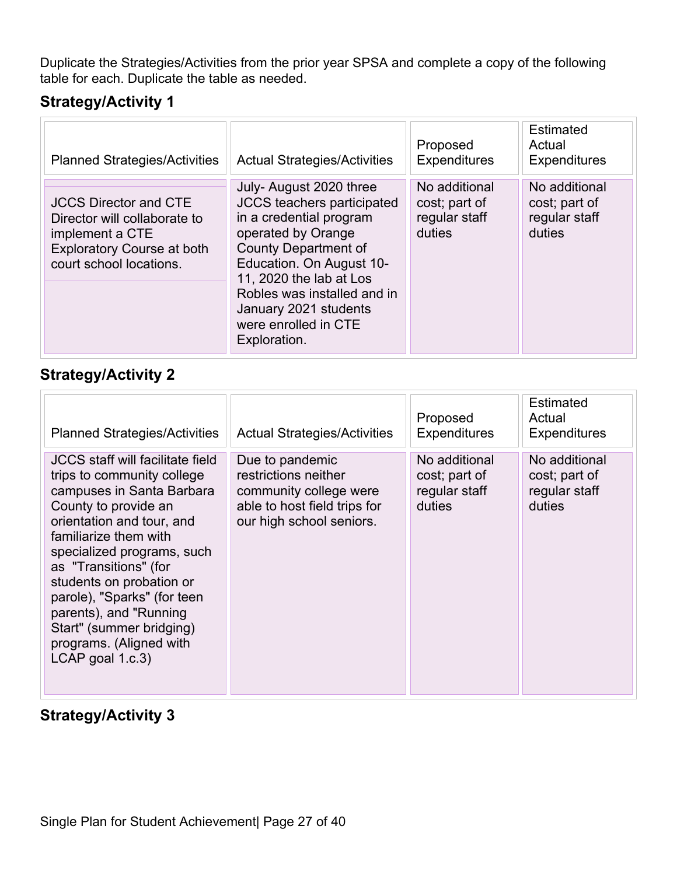Duplicate the Strategies/Activities from the prior year SPSA and complete a copy of the following table for each. Duplicate the table as needed.

## **Strategy/Activity 1**

| <b>Planned Strategies/Activities</b>                                                                                                            | <b>Actual Strategies/Activities</b>                                                                                                                                                                                                                                                                | Proposed<br><b>Expenditures</b>                           | Estimated<br>Actual<br><b>Expenditures</b>                |
|-------------------------------------------------------------------------------------------------------------------------------------------------|----------------------------------------------------------------------------------------------------------------------------------------------------------------------------------------------------------------------------------------------------------------------------------------------------|-----------------------------------------------------------|-----------------------------------------------------------|
| <b>JCCS Director and CTE</b><br>Director will collaborate to<br>implement a CTE<br><b>Exploratory Course at both</b><br>court school locations. | July-August 2020 three<br><b>JCCS</b> teachers participated<br>in a credential program<br>operated by Orange<br><b>County Department of</b><br>Education. On August 10-<br>11, 2020 the lab at Los<br>Robles was installed and in<br>January 2021 students<br>were enrolled in CTE<br>Exploration. | No additional<br>cost; part of<br>regular staff<br>duties | No additional<br>cost; part of<br>regular staff<br>duties |

## **Strategy/Activity 2**

| <b>Planned Strategies/Activities</b>                                                                                                                                                                                                                                                                                                                                                                      | <b>Actual Strategies/Activities</b>                                                                                           | Proposed<br><b>Expenditures</b>                           | <b>Estimated</b><br>Actual<br><b>Expenditures</b>         |
|-----------------------------------------------------------------------------------------------------------------------------------------------------------------------------------------------------------------------------------------------------------------------------------------------------------------------------------------------------------------------------------------------------------|-------------------------------------------------------------------------------------------------------------------------------|-----------------------------------------------------------|-----------------------------------------------------------|
| <b>JCCS</b> staff will facilitate field<br>trips to community college<br>campuses in Santa Barbara<br>County to provide an<br>orientation and tour, and<br>familiarize them with<br>specialized programs, such<br>as "Transitions" (for<br>students on probation or<br>parole), "Sparks" (for teen<br>parents), and "Running<br>Start" (summer bridging)<br>programs. (Aligned with<br>$LCAP$ goal 1.c.3) | Due to pandemic<br>restrictions neither<br>community college were<br>able to host field trips for<br>our high school seniors. | No additional<br>cost; part of<br>regular staff<br>duties | No additional<br>cost; part of<br>regular staff<br>duties |

# **Strategy/Activity 3**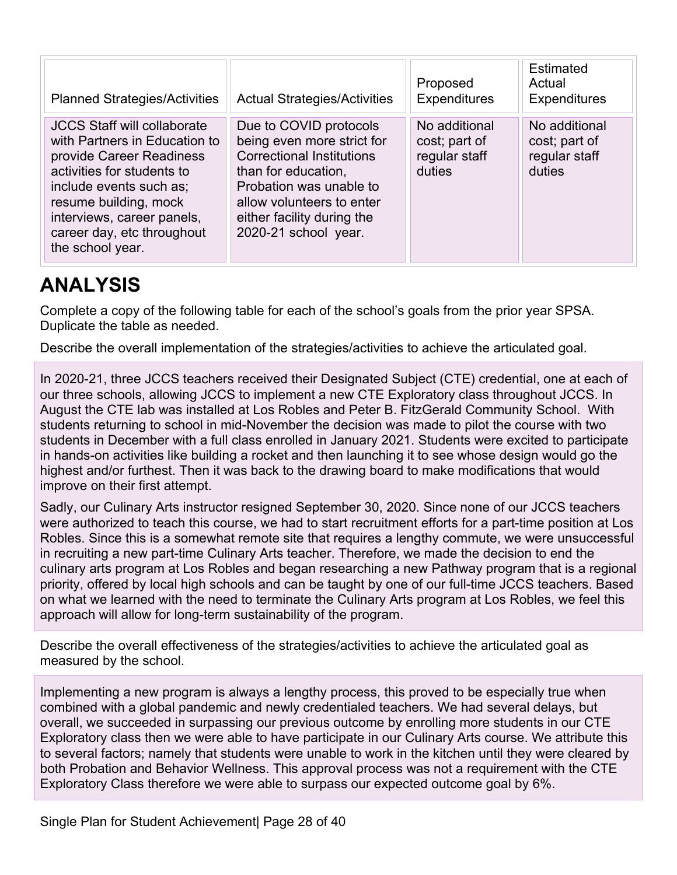| <b>Planned Strategies/Activities</b>                                                                                                                                                                                                                              | <b>Actual Strategies/Activities</b>                                                                                                                                                                                           | Proposed<br><b>Expenditures</b>                           | Estimated<br>Actual<br><b>Expenditures</b>                |
|-------------------------------------------------------------------------------------------------------------------------------------------------------------------------------------------------------------------------------------------------------------------|-------------------------------------------------------------------------------------------------------------------------------------------------------------------------------------------------------------------------------|-----------------------------------------------------------|-----------------------------------------------------------|
| <b>JCCS Staff will collaborate</b><br>with Partners in Education to<br>provide Career Readiness<br>activities for students to<br>include events such as:<br>resume building, mock<br>interviews, career panels,<br>career day, etc throughout<br>the school year. | Due to COVID protocols<br>being even more strict for<br><b>Correctional Institutions</b><br>than for education,<br>Probation was unable to<br>allow volunteers to enter<br>either facility during the<br>2020-21 school year. | No additional<br>cost; part of<br>regular staff<br>duties | No additional<br>cost; part of<br>regular staff<br>duties |

# **ANALYSIS**

Complete a copy of the following table for each of the school's goals from the prior year SPSA. Duplicate the table as needed.

Describe the overall implementation of the strategies/activities to achieve the articulated goal.

In 2020-21, three JCCS teachers received their Designated Subject (CTE) credential, one at each of our three schools, allowing JCCS to implement a new CTE Exploratory class throughout JCCS. In August the CTE lab was installed at Los Robles and Peter B. FitzGerald Community School. With students returning to school in mid-November the decision was made to pilot the course with two students in December with a full class enrolled in January 2021. Students were excited to participate in hands-on activities like building a rocket and then launching it to see whose design would go the highest and/or furthest. Then it was back to the drawing board to make modifications that would improve on their first attempt.

Sadly, our Culinary Arts instructor resigned September 30, 2020. Since none of our JCCS teachers were authorized to teach this course, we had to start recruitment efforts for a part-time position at Los Robles. Since this is a somewhat remote site that requires a lengthy commute, we were unsuccessful in recruiting a new part-time Culinary Arts teacher. Therefore, we made the decision to end the culinary arts program at Los Robles and began researching a new Pathway program that is a regional priority, offered by local high schools and can be taught by one of our full-time JCCS teachers. Based on what we learned with the need to terminate the Culinary Arts program at Los Robles, we feel this approach will allow for long-term sustainability of the program.

Describe the overall effectiveness of the strategies/activities to achieve the articulated goal as measured by the school.

Implementing a new program is always a lengthy process, this proved to be especially true when combined with a global pandemic and newly credentialed teachers. We had several delays, but overall, we succeeded in surpassing our previous outcome by enrolling more students in our CTE Exploratory class then we were able to have participate in our Culinary Arts course. We attribute this to several factors; namely that students were unable to work in the kitchen until they were cleared by both Probation and Behavior Wellness. This approval process was not a requirement with the CTE Exploratory Class therefore we were able to surpass our expected outcome goal by 6%.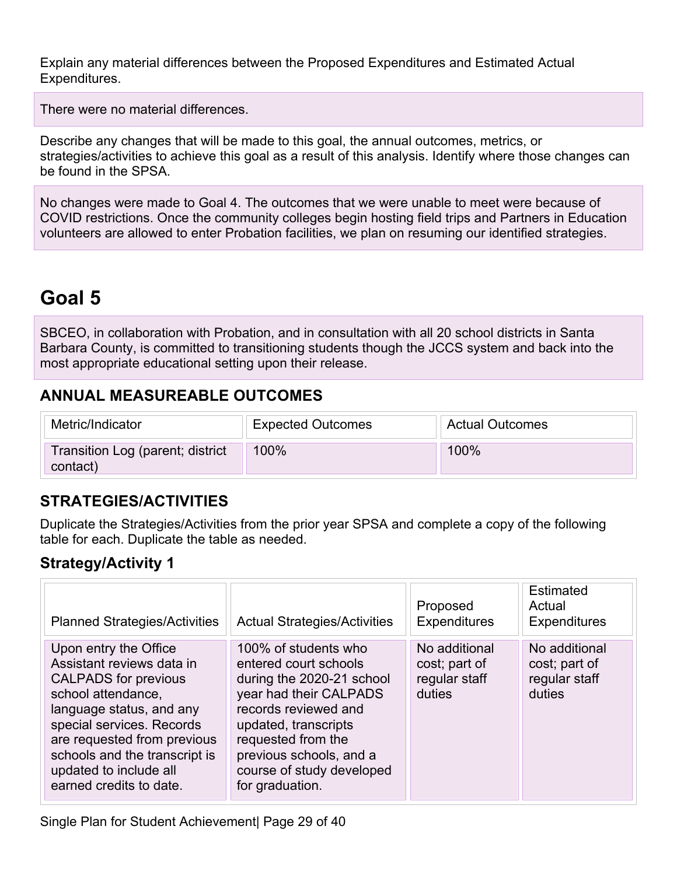Explain any material differences between the Proposed Expenditures and Estimated Actual Expenditures.

There were no material differences.

Describe any changes that will be made to this goal, the annual outcomes, metrics, or strategies/activities to achieve this goal as a result of this analysis. Identify where those changes can be found in the SPSA.

No changes were made to Goal 4. The outcomes that we were unable to meet were because of COVID restrictions. Once the community colleges begin hosting field trips and Partners in Education volunteers are allowed to enter Probation facilities, we plan on resuming our identified strategies.

# **Goal 5**

SBCEO, in collaboration with Probation, and in consultation with all 20 school districts in Santa Barbara County, is committed to transitioning students though the JCCS system and back into the most appropriate educational setting upon their release.

# **ANNUAL MEASUREABLE OUTCOMES**

| Metric/Indicator                             | <b>Expected Outcomes</b> | <b>Actual Outcomes</b> |
|----------------------------------------------|--------------------------|------------------------|
| Transition Log (parent; district<br>contact) | 100%                     | $100\%$                |

# **STRATEGIES/ACTIVITIES**

Duplicate the Strategies/Activities from the prior year SPSA and complete a copy of the following table for each. Duplicate the table as needed.

# **Strategy/Activity 1**

| <b>Planned Strategies/Activities</b>                                                                                                                                                                                                                                                  | <b>Actual Strategies/Activities</b>                                                                                                                                                                                                                   | Proposed<br><b>Expenditures</b>                           | Estimated<br>Actual<br><b>Expenditures</b>                |
|---------------------------------------------------------------------------------------------------------------------------------------------------------------------------------------------------------------------------------------------------------------------------------------|-------------------------------------------------------------------------------------------------------------------------------------------------------------------------------------------------------------------------------------------------------|-----------------------------------------------------------|-----------------------------------------------------------|
| Upon entry the Office<br>Assistant reviews data in<br><b>CALPADS</b> for previous<br>school attendance,<br>language status, and any<br>special services. Records<br>are requested from previous<br>schools and the transcript is<br>updated to include all<br>earned credits to date. | 100% of students who<br>entered court schools<br>during the 2020-21 school<br>year had their CALPADS<br>records reviewed and<br>updated, transcripts<br>requested from the<br>previous schools, and a<br>course of study developed<br>for graduation. | No additional<br>cost; part of<br>regular staff<br>duties | No additional<br>cost; part of<br>regular staff<br>duties |

Single Plan for Student Achievement| Page 29 of 40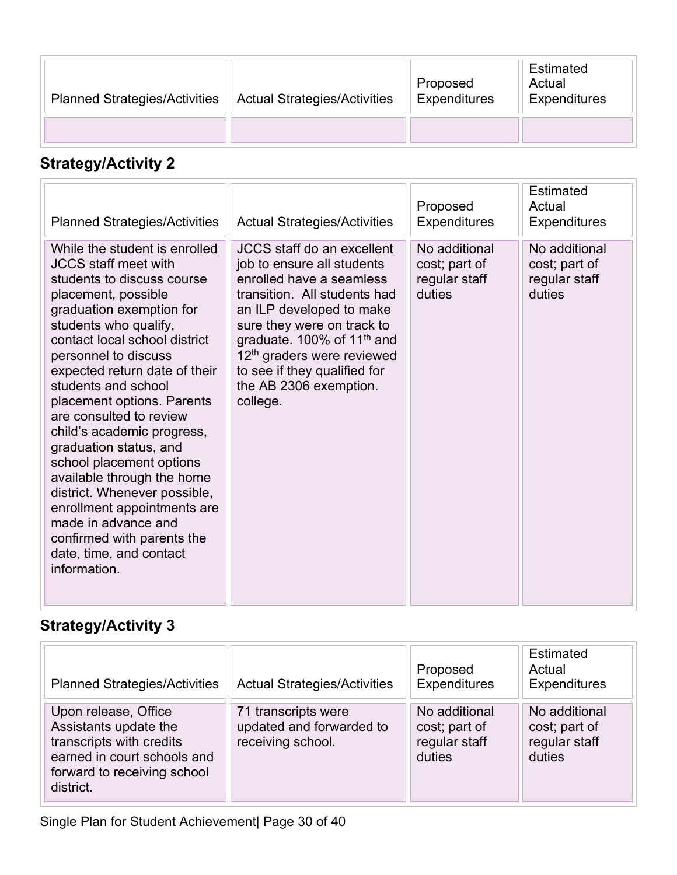| <b>Planned Strategies/Activities</b> | <b>Actual Strategies/Activities</b> | Proposed<br>Expenditures | Estimated<br>Actual<br>Expenditures |
|--------------------------------------|-------------------------------------|--------------------------|-------------------------------------|
|                                      |                                     |                          |                                     |

| <b>Planned Strategies/Activities</b>                                                                                                                                                                                                                                                                                                                                                                                                                                                                                                                                                                                              | <b>Actual Strategies/Activities</b>                                                                                                                                                                                                                                                                                                      | Proposed<br><b>Expenditures</b>                           | Estimated<br>Actual<br><b>Expenditures</b>                |
|-----------------------------------------------------------------------------------------------------------------------------------------------------------------------------------------------------------------------------------------------------------------------------------------------------------------------------------------------------------------------------------------------------------------------------------------------------------------------------------------------------------------------------------------------------------------------------------------------------------------------------------|------------------------------------------------------------------------------------------------------------------------------------------------------------------------------------------------------------------------------------------------------------------------------------------------------------------------------------------|-----------------------------------------------------------|-----------------------------------------------------------|
| While the student is enrolled<br><b>JCCS</b> staff meet with<br>students to discuss course<br>placement, possible<br>graduation exemption for<br>students who qualify,<br>contact local school district<br>personnel to discuss<br>expected return date of their<br>students and school<br>placement options. Parents<br>are consulted to review<br>child's academic progress,<br>graduation status, and<br>school placement options<br>available through the home<br>district. Whenever possible,<br>enrollment appointments are<br>made in advance and<br>confirmed with parents the<br>date, time, and contact<br>information. | JCCS staff do an excellent<br>job to ensure all students<br>enrolled have a seamless<br>transition. All students had<br>an ILP developed to make<br>sure they were on track to<br>graduate. 100% of 11 <sup>th</sup> and<br>12 <sup>th</sup> graders were reviewed<br>to see if they qualified for<br>the AB 2306 exemption.<br>college. | No additional<br>cost; part of<br>regular staff<br>duties | No additional<br>cost; part of<br>regular staff<br>duties |

# **Strategy/Activity 3**

| <b>Planned Strategies/Activities</b>                                                                                                                 | <b>Actual Strategies/Activities</b>                                  | Proposed<br><b>Expenditures</b>                           | <b>Estimated</b><br>Actual<br><b>Expenditures</b>         |
|------------------------------------------------------------------------------------------------------------------------------------------------------|----------------------------------------------------------------------|-----------------------------------------------------------|-----------------------------------------------------------|
| Upon release, Office<br>Assistants update the<br>transcripts with credits<br>earned in court schools and<br>forward to receiving school<br>district. | 71 transcripts were<br>updated and forwarded to<br>receiving school. | No additional<br>cost; part of<br>regular staff<br>duties | No additional<br>cost; part of<br>regular staff<br>duties |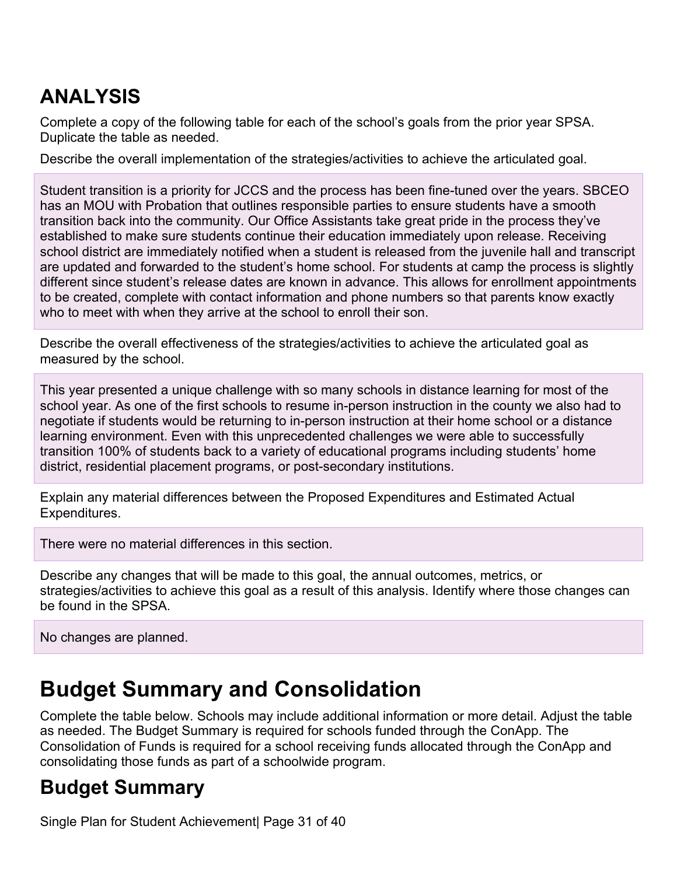# **ANALYSIS**

Complete a copy of the following table for each of the school's goals from the prior year SPSA. Duplicate the table as needed.

Describe the overall implementation of the strategies/activities to achieve the articulated goal.

Student transition is a priority for JCCS and the process has been fine-tuned over the years. SBCEO has an MOU with Probation that outlines responsible parties to ensure students have a smooth transition back into the community. Our Office Assistants take great pride in the process they've established to make sure students continue their education immediately upon release. Receiving school district are immediately notified when a student is released from the juvenile hall and transcript are updated and forwarded to the student's home school. For students at camp the process is slightly different since student's release dates are known in advance. This allows for enrollment appointments to be created, complete with contact information and phone numbers so that parents know exactly who to meet with when they arrive at the school to enroll their son.

Describe the overall effectiveness of the strategies/activities to achieve the articulated goal as measured by the school.

This year presented a unique challenge with so many schools in distance learning for most of the school year. As one of the first schools to resume in-person instruction in the county we also had to negotiate if students would be returning to in-person instruction at their home school or a distance learning environment. Even with this unprecedented challenges we were able to successfully transition 100% of students back to a variety of educational programs including students' home district, residential placement programs, or post-secondary institutions.

Explain any material differences between the Proposed Expenditures and Estimated Actual Expenditures.

There were no material differences in this section.

Describe any changes that will be made to this goal, the annual outcomes, metrics, or strategies/activities to achieve this goal as a result of this analysis. Identify where those changes can be found in the SPSA.

No changes are planned.

# **Budget Summary and Consolidation**

Complete the table below. Schools may include additional information or more detail. Adjust the table as needed. The Budget Summary is required for schools funded through the ConApp. The Consolidation of Funds is required for a school receiving funds allocated through the ConApp and consolidating those funds as part of a schoolwide program.

# **Budget Summary**

Single Plan for Student Achievement| Page 31 of 40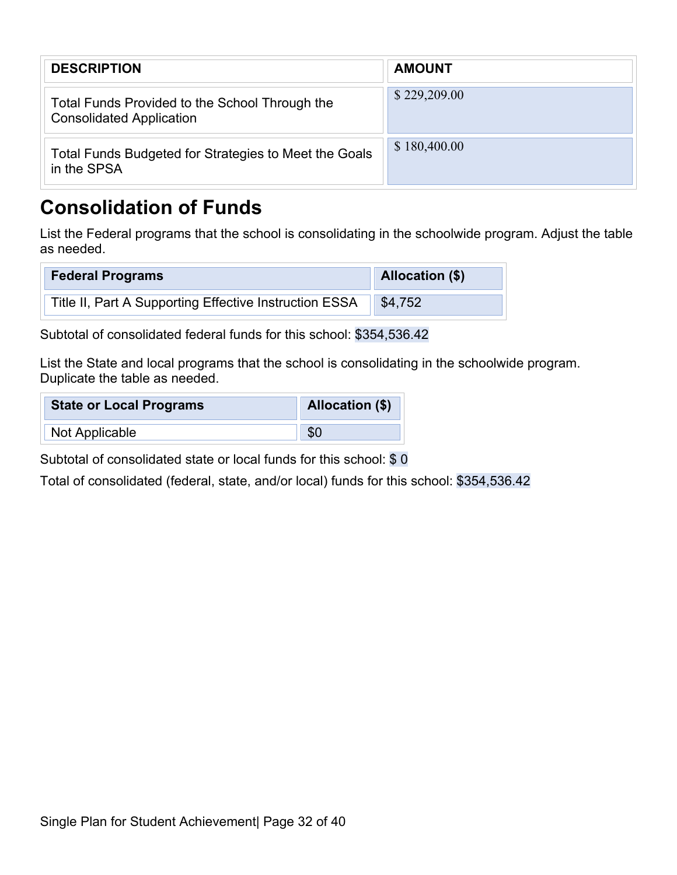| <b>DESCRIPTION</b>                                                                | <b>AMOUNT</b> |
|-----------------------------------------------------------------------------------|---------------|
| Total Funds Provided to the School Through the<br><b>Consolidated Application</b> | \$229,209.00  |
| Total Funds Budgeted for Strategies to Meet the Goals<br>in the SPSA              | \$180,400.00  |

# **Consolidation of Funds**

List the Federal programs that the school is consolidating in the schoolwide program. Adjust the table as needed.

| <b>Federal Programs</b>                                | <b>Allocation (\$)</b> |
|--------------------------------------------------------|------------------------|
| Title II, Part A Supporting Effective Instruction ESSA | $\frac{$4,752}{}$      |

Subtotal of consolidated federal funds for this school: \$354,536.42

List the State and local programs that the school is consolidating in the schoolwide program. Duplicate the table as needed.

| <b>State or Local Programs</b> | Allocation (\$) |
|--------------------------------|-----------------|
| Not Applicable                 |                 |

Subtotal of consolidated state or local funds for this school: \$ 0

Total of consolidated (federal, state, and/or local) funds for this school: \$354,536.42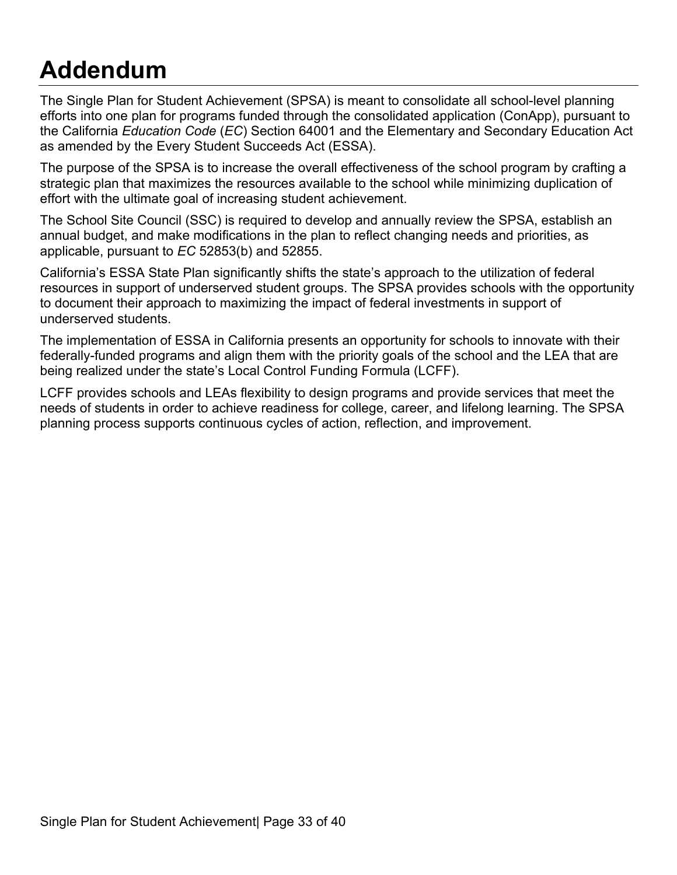# **Addendum**

The Single Plan for Student Achievement (SPSA) is meant to consolidate all school-level planning efforts into one plan for programs funded through the consolidated application (ConApp), pursuant to the California *Education Code* (*EC*) Section 64001 and the Elementary and Secondary Education Act as amended by the Every Student Succeeds Act (ESSA).

The purpose of the SPSA is to increase the overall effectiveness of the school program by crafting a strategic plan that maximizes the resources available to the school while minimizing duplication of effort with the ultimate goal of increasing student achievement.

The School Site Council (SSC) is required to develop and annually review the SPSA, establish an annual budget, and make modifications in the plan to reflect changing needs and priorities, as applicable, pursuant to *EC* 52853(b) and 52855.

California's ESSA State Plan significantly shifts the state's approach to the utilization of federal resources in support of underserved student groups. The SPSA provides schools with the opportunity to document their approach to maximizing the impact of federal investments in support of underserved students.

The implementation of ESSA in California presents an opportunity for schools to innovate with their federally-funded programs and align them with the priority goals of the school and the LEA that are being realized under the state's Local Control Funding Formula (LCFF).

LCFF provides schools and LEAs flexibility to design programs and provide services that meet the needs of students in order to achieve readiness for college, career, and lifelong learning. The SPSA planning process supports continuous cycles of action, reflection, and improvement.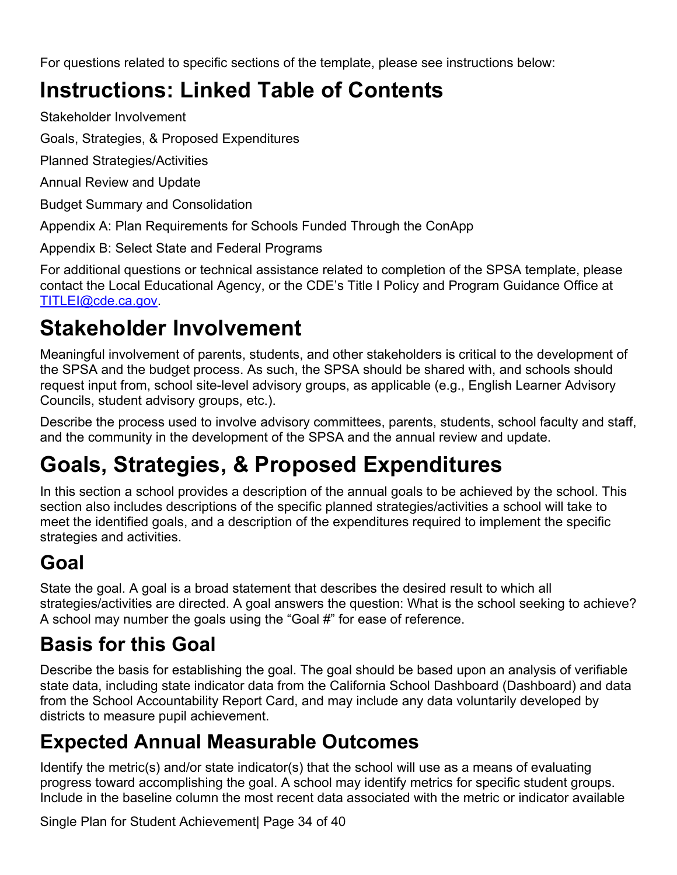For questions related to specific sections of the template, please see instructions below:

# **Instructions: Linked Table of Contents**

Stakeholder Involvement

Goals, Strategies, & Proposed Expenditures

Planned Strategies/Activities

Annual Review and Update

Budget Summary and Consolidation

Appendix A: Plan Requirements for Schools Funded Through the ConApp

Appendix B: Select State and Federal Programs

For additional questions or technical assistance related to completion of the SPSA template, please contact the Local Educational Agency, or the CDE's Title I Policy and Program Guidance Office at TITLEI@cde.ca.gov.

# **Stakeholder Involvement**

Meaningful involvement of parents, students, and other stakeholders is critical to the development of the SPSA and the budget process. As such, the SPSA should be shared with, and schools should request input from, school site-level advisory groups, as applicable (e.g., English Learner Advisory Councils, student advisory groups, etc.).

Describe the process used to involve advisory committees, parents, students, school faculty and staff, and the community in the development of the SPSA and the annual review and update.

# **Goals, Strategies, & Proposed Expenditures**

In this section a school provides a description of the annual goals to be achieved by the school. This section also includes descriptions of the specific planned strategies/activities a school will take to meet the identified goals, and a description of the expenditures required to implement the specific strategies and activities.

# **Goal**

State the goal. A goal is a broad statement that describes the desired result to which all strategies/activities are directed. A goal answers the question: What is the school seeking to achieve? A school may number the goals using the "Goal #" for ease of reference.

# **Basis for this Goal**

Describe the basis for establishing the goal. The goal should be based upon an analysis of verifiable state data, including state indicator data from the California School Dashboard (Dashboard) and data from the School Accountability Report Card, and may include any data voluntarily developed by districts to measure pupil achievement.

# **Expected Annual Measurable Outcomes**

Identify the metric(s) and/or state indicator(s) that the school will use as a means of evaluating progress toward accomplishing the goal. A school may identify metrics for specific student groups. Include in the baseline column the most recent data associated with the metric or indicator available

Single Plan for Student Achievement| Page 34 of 40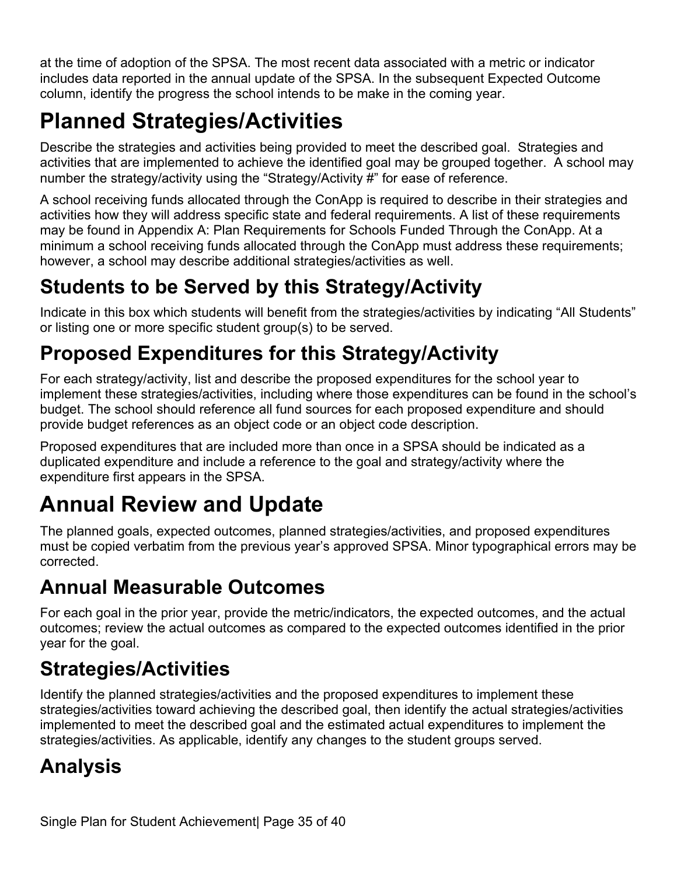at the time of adoption of the SPSA. The most recent data associated with a metric or indicator includes data reported in the annual update of the SPSA. In the subsequent Expected Outcome column, identify the progress the school intends to be make in the coming year.

# **Planned Strategies/Activities**

Describe the strategies and activities being provided to meet the described goal. Strategies and activities that are implemented to achieve the identified goal may be grouped together. A school may number the strategy/activity using the "Strategy/Activity #" for ease of reference.

A school receiving funds allocated through the ConApp is required to describe in their strategies and activities how they will address specific state and federal requirements. A list of these requirements may be found in Appendix A: Plan Requirements for Schools Funded Through the ConApp. At a minimum a school receiving funds allocated through the ConApp must address these requirements; however, a school may describe additional strategies/activities as well.

# **Students to be Served by this Strategy/Activity**

Indicate in this box which students will benefit from the strategies/activities by indicating "All Students" or listing one or more specific student group(s) to be served.

# **Proposed Expenditures for this Strategy/Activity**

For each strategy/activity, list and describe the proposed expenditures for the school year to implement these strategies/activities, including where those expenditures can be found in the school's budget. The school should reference all fund sources for each proposed expenditure and should provide budget references as an object code or an object code description.

Proposed expenditures that are included more than once in a SPSA should be indicated as a duplicated expenditure and include a reference to the goal and strategy/activity where the expenditure first appears in the SPSA.

# **Annual Review and Update**

The planned goals, expected outcomes, planned strategies/activities, and proposed expenditures must be copied verbatim from the previous year's approved SPSA. Minor typographical errors may be corrected.

# **Annual Measurable Outcomes**

For each goal in the prior year, provide the metric/indicators, the expected outcomes, and the actual outcomes; review the actual outcomes as compared to the expected outcomes identified in the prior year for the goal.

# **Strategies/Activities**

Identify the planned strategies/activities and the proposed expenditures to implement these strategies/activities toward achieving the described goal, then identify the actual strategies/activities implemented to meet the described goal and the estimated actual expenditures to implement the strategies/activities. As applicable, identify any changes to the student groups served.

# **Analysis**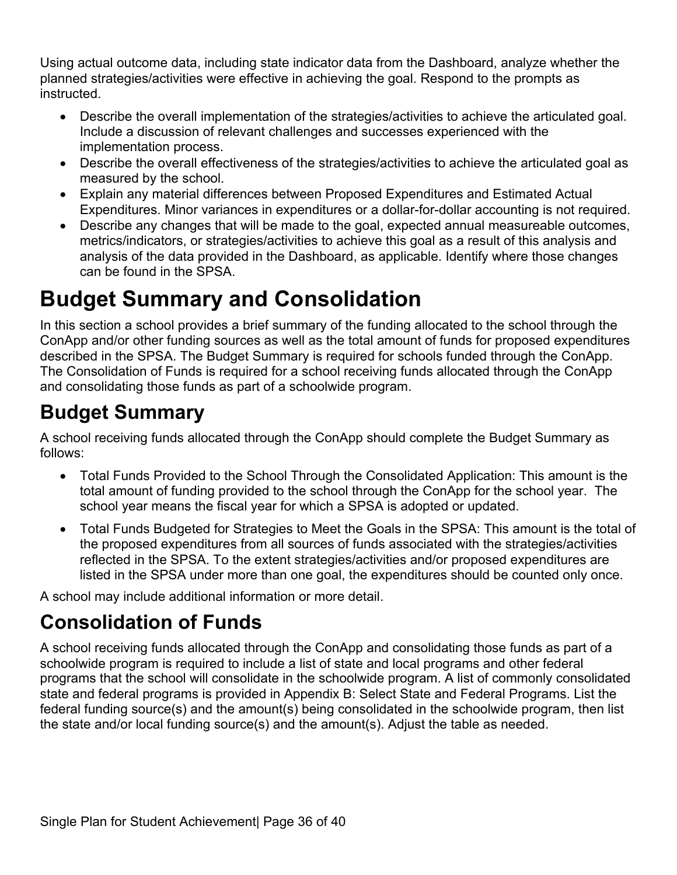Using actual outcome data, including state indicator data from the Dashboard, analyze whether the planned strategies/activities were effective in achieving the goal. Respond to the prompts as instructed.

- Describe the overall implementation of the strategies/activities to achieve the articulated goal. Include a discussion of relevant challenges and successes experienced with the implementation process.
- Describe the overall effectiveness of the strategies/activities to achieve the articulated goal as measured by the school.
- Explain any material differences between Proposed Expenditures and Estimated Actual Expenditures. Minor variances in expenditures or a dollar-for-dollar accounting is not required.
- Describe any changes that will be made to the goal, expected annual measureable outcomes, metrics/indicators, or strategies/activities to achieve this goal as a result of this analysis and analysis of the data provided in the Dashboard, as applicable. Identify where those changes can be found in the SPSA.

# **Budget Summary and Consolidation**

In this section a school provides a brief summary of the funding allocated to the school through the ConApp and/or other funding sources as well as the total amount of funds for proposed expenditures described in the SPSA. The Budget Summary is required for schools funded through the ConApp. The Consolidation of Funds is required for a school receiving funds allocated through the ConApp and consolidating those funds as part of a schoolwide program.

# **Budget Summary**

A school receiving funds allocated through the ConApp should complete the Budget Summary as follows:

- Total Funds Provided to the School Through the Consolidated Application: This amount is the total amount of funding provided to the school through the ConApp for the school year. The school year means the fiscal year for which a SPSA is adopted or updated.
- Total Funds Budgeted for Strategies to Meet the Goals in the SPSA: This amount is the total of the proposed expenditures from all sources of funds associated with the strategies/activities reflected in the SPSA. To the extent strategies/activities and/or proposed expenditures are listed in the SPSA under more than one goal, the expenditures should be counted only once.

A school may include additional information or more detail.

# **Consolidation of Funds**

A school receiving funds allocated through the ConApp and consolidating those funds as part of a schoolwide program is required to include a list of state and local programs and other federal programs that the school will consolidate in the schoolwide program. A list of commonly consolidated state and federal programs is provided in Appendix B: Select State and Federal Programs. List the federal funding source(s) and the amount(s) being consolidated in the schoolwide program, then list the state and/or local funding source(s) and the amount(s). Adjust the table as needed.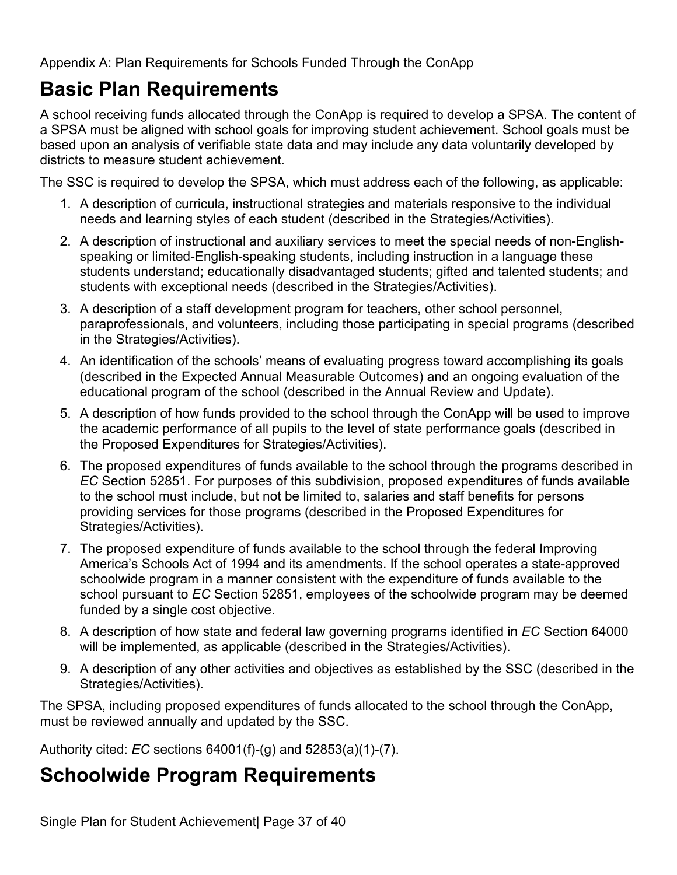Appendix A: Plan Requirements for Schools Funded Through the ConApp

# **Basic Plan Requirements**

A school receiving funds allocated through the ConApp is required to develop a SPSA. The content of a SPSA must be aligned with school goals for improving student achievement. School goals must be based upon an analysis of verifiable state data and may include any data voluntarily developed by districts to measure student achievement.

The SSC is required to develop the SPSA, which must address each of the following, as applicable:

- 1. A description of curricula, instructional strategies and materials responsive to the individual needs and learning styles of each student (described in the Strategies/Activities).
- 2. A description of instructional and auxiliary services to meet the special needs of non-Englishspeaking or limited-English-speaking students, including instruction in a language these students understand; educationally disadvantaged students; gifted and talented students; and students with exceptional needs (described in the Strategies/Activities).
- 3. A description of a staff development program for teachers, other school personnel, paraprofessionals, and volunteers, including those participating in special programs (described in the Strategies/Activities).
- 4. An identification of the schools' means of evaluating progress toward accomplishing its goals (described in the Expected Annual Measurable Outcomes) and an ongoing evaluation of the educational program of the school (described in the Annual Review and Update).
- 5. A description of how funds provided to the school through the ConApp will be used to improve the academic performance of all pupils to the level of state performance goals (described in the Proposed Expenditures for Strategies/Activities).
- 6. The proposed expenditures of funds available to the school through the programs described in *EC* Section 52851. For purposes of this subdivision, proposed expenditures of funds available to the school must include, but not be limited to, salaries and staff benefits for persons providing services for those programs (described in the Proposed Expenditures for Strategies/Activities).
- 7. The proposed expenditure of funds available to the school through the federal Improving America's Schools Act of 1994 and its amendments. If the school operates a state-approved schoolwide program in a manner consistent with the expenditure of funds available to the school pursuant to *EC* Section 52851, employees of the schoolwide program may be deemed funded by a single cost objective.
- 8. A description of how state and federal law governing programs identified in *EC* Section 64000 will be implemented, as applicable (described in the Strategies/Activities).
- 9. A description of any other activities and objectives as established by the SSC (described in the Strategies/Activities).

The SPSA, including proposed expenditures of funds allocated to the school through the ConApp, must be reviewed annually and updated by the SSC.

Authority cited: *EC* sections 64001(f)-(g) and 52853(a)(1)-(7).

# **Schoolwide Program Requirements**

Single Plan for Student Achievement| Page 37 of 40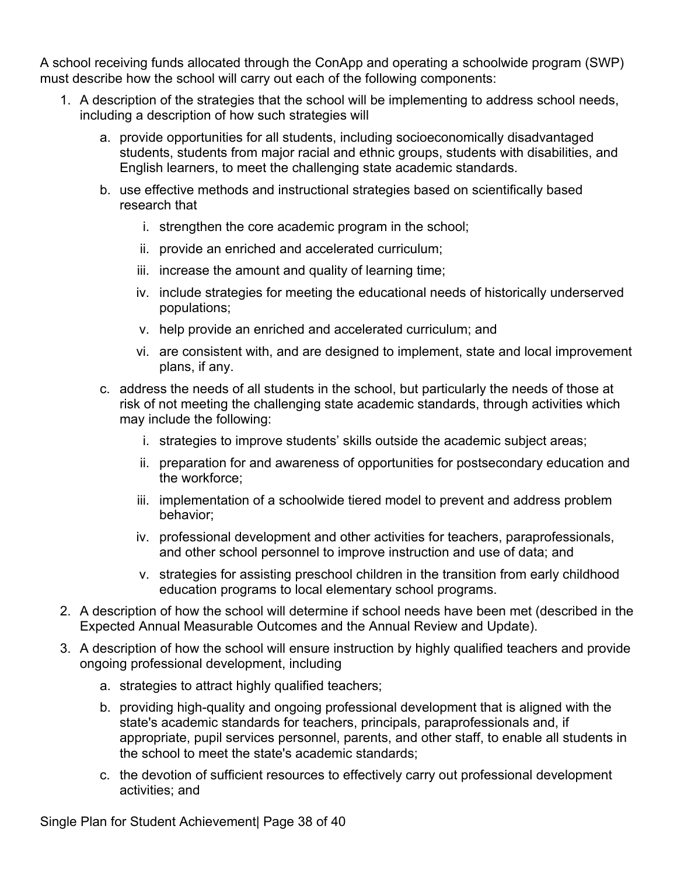A school receiving funds allocated through the ConApp and operating a schoolwide program (SWP) must describe how the school will carry out each of the following components:

- 1. A description of the strategies that the school will be implementing to address school needs, including a description of how such strategies will
	- a. provide opportunities for all students, including socioeconomically disadvantaged students, students from major racial and ethnic groups, students with disabilities, and English learners, to meet the challenging state academic standards.
	- b. use effective methods and instructional strategies based on scientifically based research that
		- i. strengthen the core academic program in the school;
		- ii. provide an enriched and accelerated curriculum;
		- iii. increase the amount and quality of learning time;
		- iv. include strategies for meeting the educational needs of historically underserved populations;
		- v. help provide an enriched and accelerated curriculum; and
		- vi. are consistent with, and are designed to implement, state and local improvement plans, if any.
	- c. address the needs of all students in the school, but particularly the needs of those at risk of not meeting the challenging state academic standards, through activities which may include the following:
		- i. strategies to improve students' skills outside the academic subject areas;
		- ii. preparation for and awareness of opportunities for postsecondary education and the workforce;
		- iii. implementation of a schoolwide tiered model to prevent and address problem behavior;
		- iv. professional development and other activities for teachers, paraprofessionals, and other school personnel to improve instruction and use of data; and
		- v. strategies for assisting preschool children in the transition from early childhood education programs to local elementary school programs.
- 2. A description of how the school will determine if school needs have been met (described in the Expected Annual Measurable Outcomes and the Annual Review and Update).
- 3. A description of how the school will ensure instruction by highly qualified teachers and provide ongoing professional development, including
	- a. strategies to attract highly qualified teachers;
	- b. providing high-quality and ongoing professional development that is aligned with the state's academic standards for teachers, principals, paraprofessionals and, if appropriate, pupil services personnel, parents, and other staff, to enable all students in the school to meet the state's academic standards;
	- c. the devotion of sufficient resources to effectively carry out professional development activities; and

Single Plan for Student Achievement| Page 38 of 40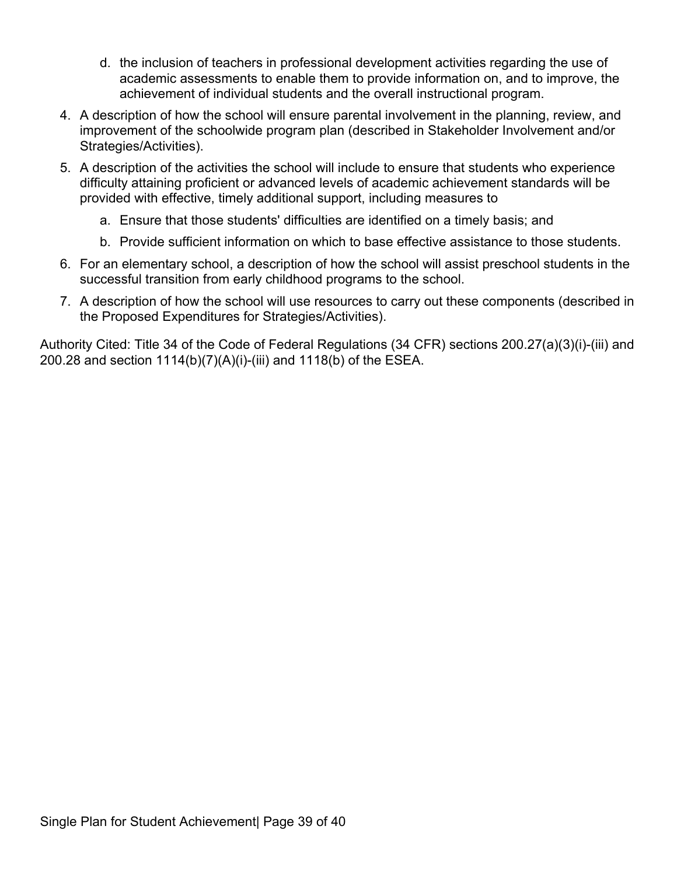- d. the inclusion of teachers in professional development activities regarding the use of academic assessments to enable them to provide information on, and to improve, the achievement of individual students and the overall instructional program.
- 4. A description of how the school will ensure parental involvement in the planning, review, and improvement of the schoolwide program plan (described in Stakeholder Involvement and/or Strategies/Activities).
- 5. A description of the activities the school will include to ensure that students who experience difficulty attaining proficient or advanced levels of academic achievement standards will be provided with effective, timely additional support, including measures to
	- a. Ensure that those students' difficulties are identified on a timely basis; and
	- b. Provide sufficient information on which to base effective assistance to those students.
- 6. For an elementary school, a description of how the school will assist preschool students in the successful transition from early childhood programs to the school.
- 7. A description of how the school will use resources to carry out these components (described in the Proposed Expenditures for Strategies/Activities).

Authority Cited: Title 34 of the Code of Federal Regulations (34 CFR) sections 200.27(a)(3)(i)-(iii) and 200.28 and section 1114(b)(7)(A)(i)-(iii) and 1118(b) of the ESEA.